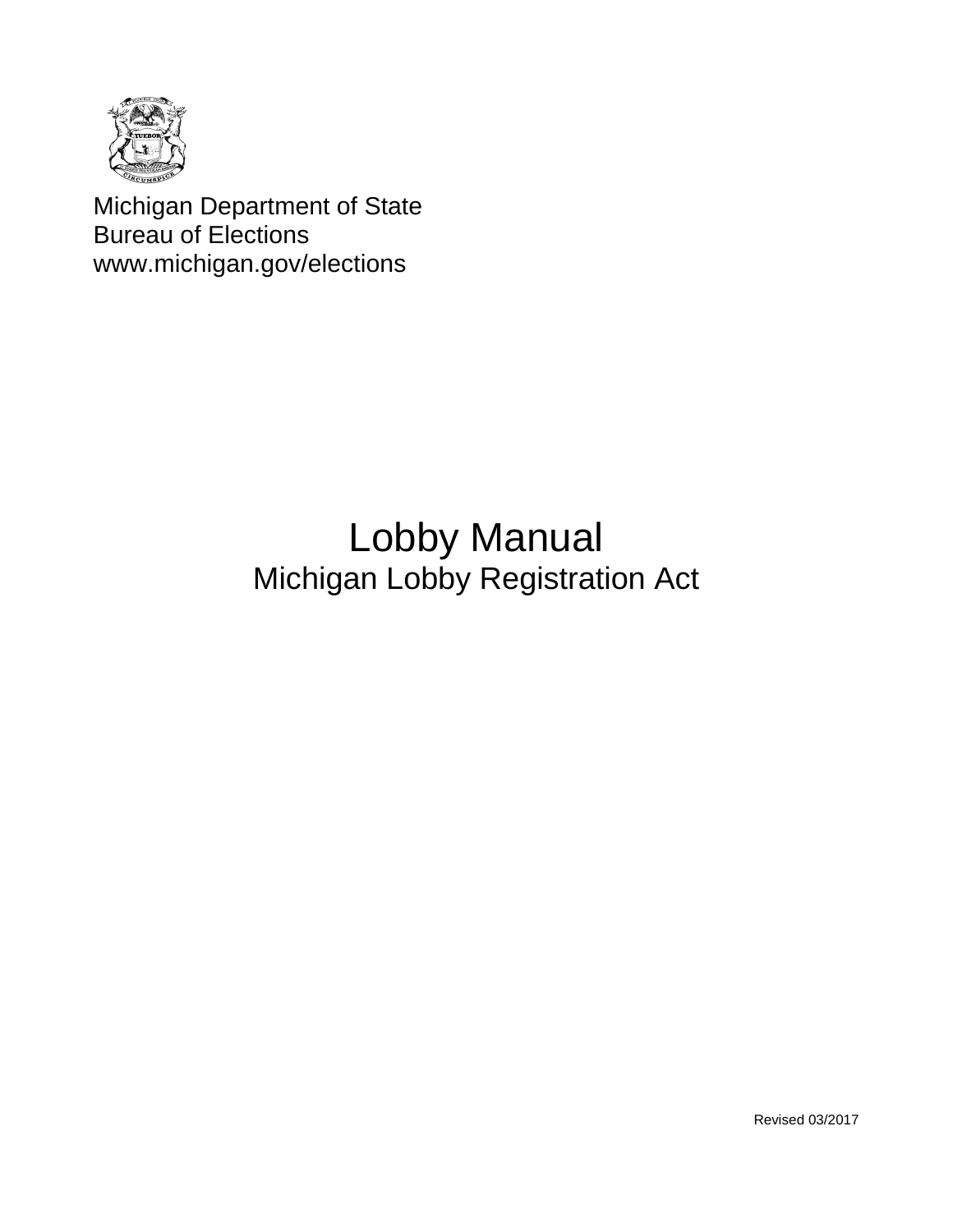

Michigan Department of State Bureau of Elections www.michigan.gov/elections

# Lobby Manual Michigan Lobby Registration Act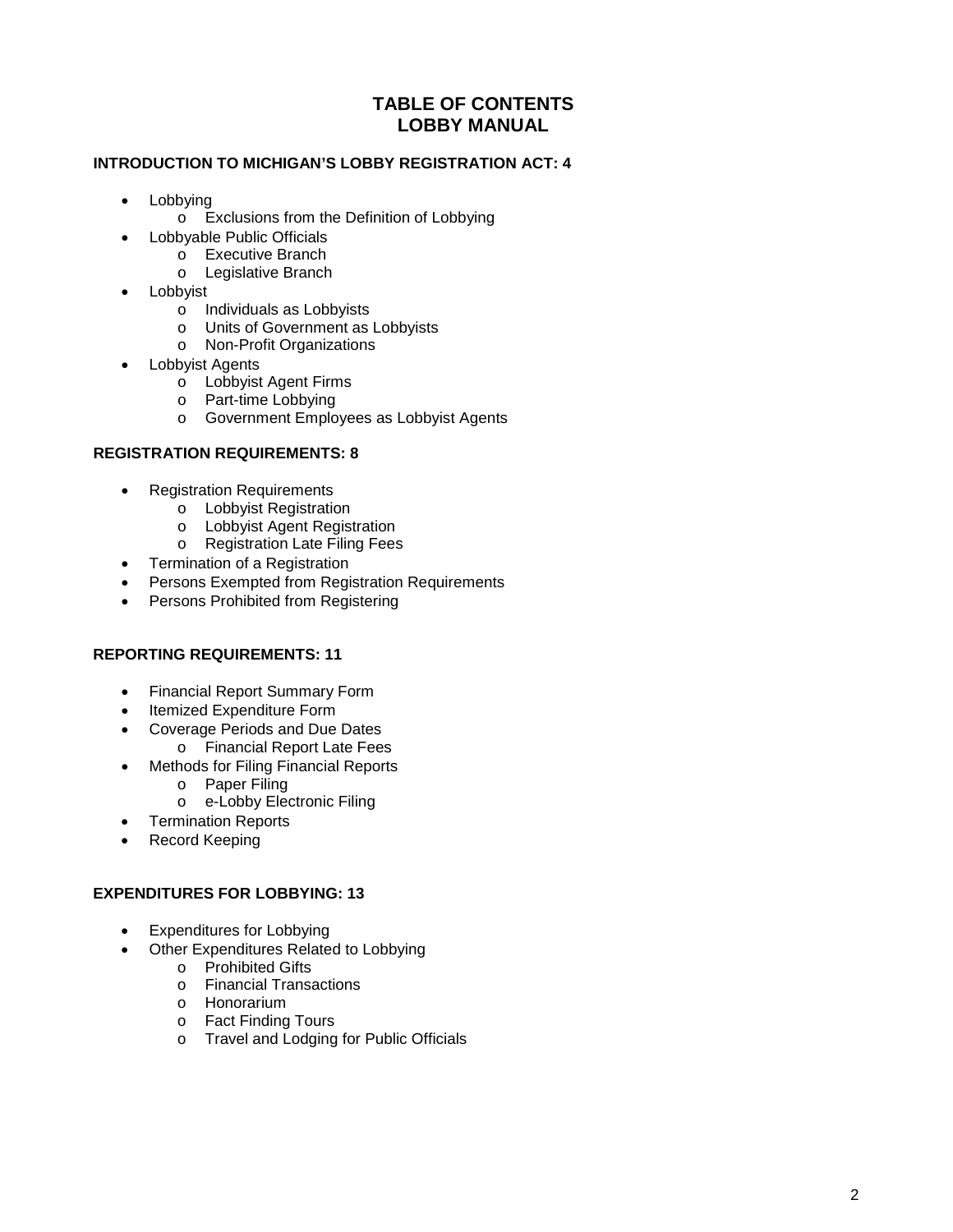# **TABLE OF CONTENTS LOBBY MANUAL**

## **INTRODUCTION TO MICHIGAN'S LOBBY REGISTRATION ACT: 4**

- Lobbying
	- o Exclusions from the Definition of Lobbying
	- Lobbyable Public Officials
		- o Executive Branch
		- o Legislative Branch
- Lobbyist
	- o Individuals as Lobbyists
	- o Units of Government as Lobbyists
	- o Non-Profit Organizations
- Lobbyist Agents
	- o Lobbyist Agent Firms
	- o Part-time Lobbying
	- o Government Employees as Lobbyist Agents

## **REGISTRATION REQUIREMENTS: 8**

- Registration Requirements
	- o Lobbyist Registration
	- o Lobbyist Agent Registration
	- o Registration Late Filing Fees
- Termination of a Registration
- Persons Exempted from Registration Requirements
- Persons Prohibited from Registering

## **REPORTING REQUIREMENTS: 11**

- Financial Report Summary Form
- Itemized Expenditure Form
- Coverage Periods and Due Dates
	- o Financial Report Late Fees
- Methods for Filing Financial Reports
	- o Paper Filing
	- o e-Lobby Electronic Filing
- Termination Reports
- Record Keeping

## **EXPENDITURES FOR LOBBYING: 13**

- Expenditures for Lobbying
- Other Expenditures Related to Lobbying
	- o Prohibited Gifts
		- o Financial Transactions
		- o Honorarium
		- o Fact Finding Tours
		- o Travel and Lodging for Public Officials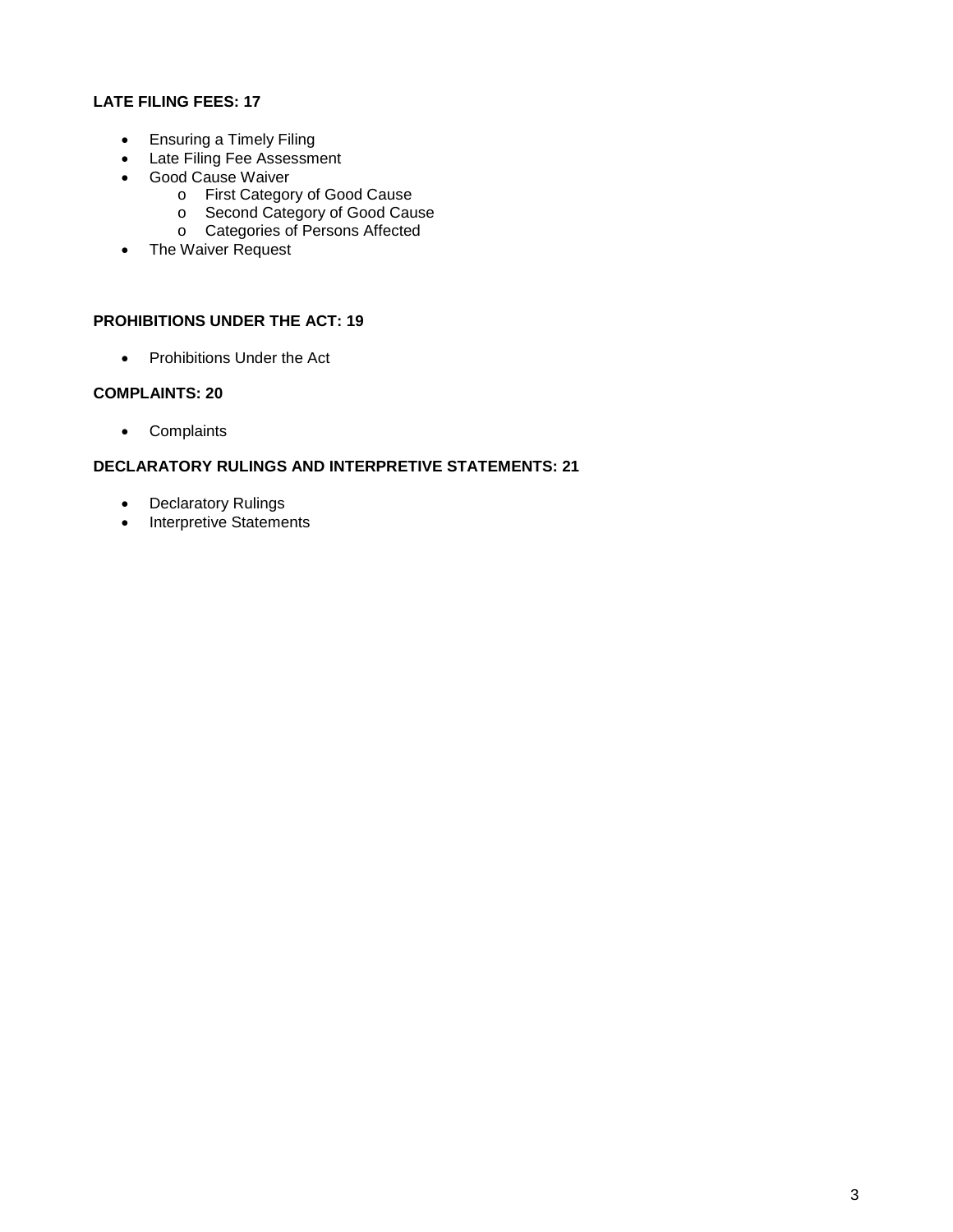# **LATE FILING FEES: 17**

- Ensuring a Timely Filing
- Late Filing Fee Assessment
- Good Cause Waiver
	- o First Category of Good Cause
	- o Second Category of Good Cause
	- o Categories of Persons Affected
- The Waiver Request

# **PROHIBITIONS UNDER THE ACT: 19**

• Prohibitions Under the Act

## **COMPLAINTS: 20**

• Complaints

# **DECLARATORY RULINGS AND INTERPRETIVE STATEMENTS: 21**

- Declaratory Rulings
- Interpretive Statements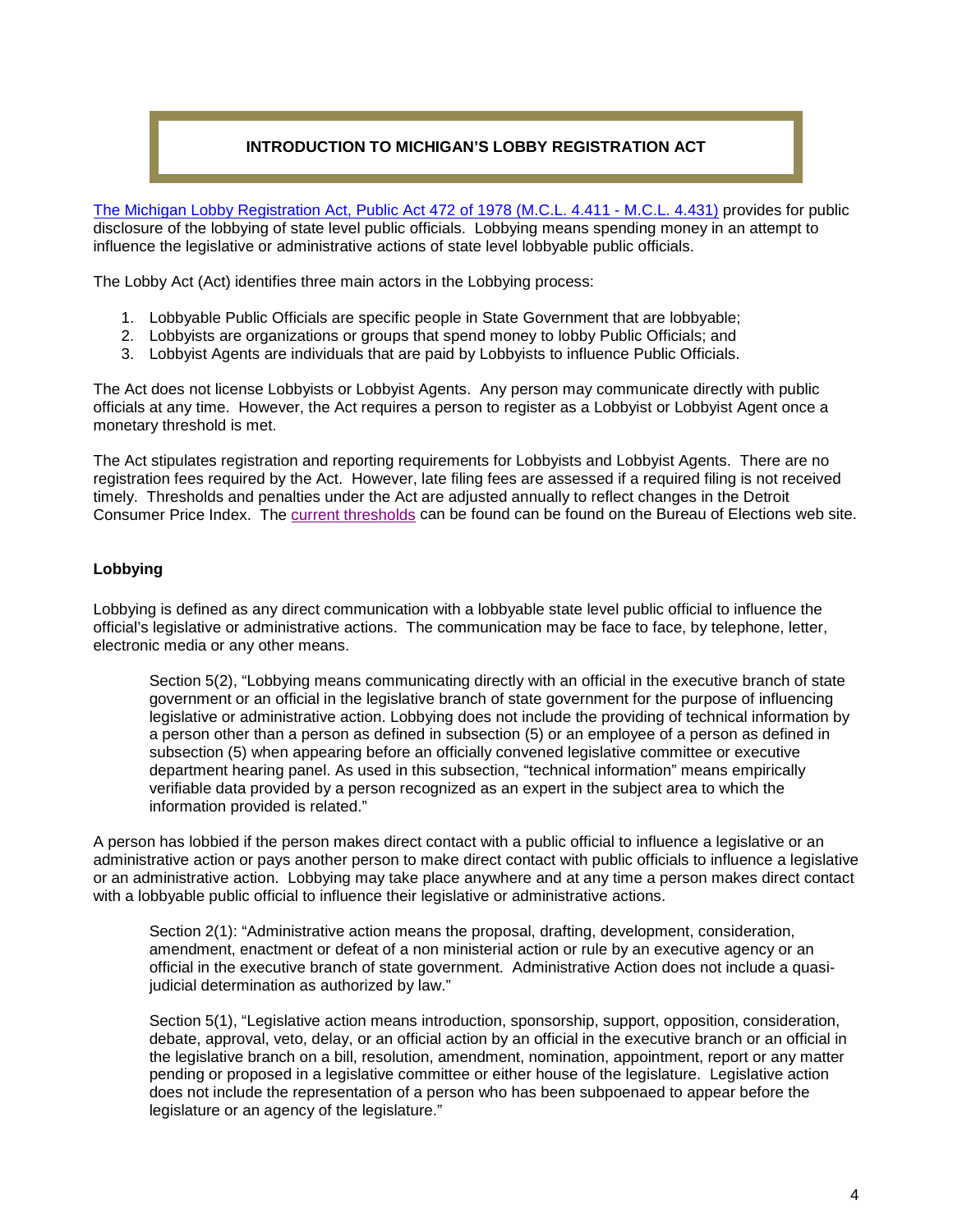# **INTRODUCTION TO MICHIGAN'S LOBBY REGISTRATION ACT**

[The Michigan Lobby Registration Act, Public Act 472 of 1978 \(M.C.L. 4.411 -](http://www.legislature.mi.gov/(S(2upxsp5ckf5ftgwb3obqg3ja))/mileg.aspx?page=getobject&objectname=mcl-Act-472-of-1978&queryid=18393748) M.C.L. 4.431) provides for public disclosure of the lobbying of state level public officials. Lobbying means spending money in an attempt to influence the legislative or administrative actions of state level lobbyable public officials.

The Lobby Act (Act) identifies three main actors in the Lobbying process:

- 1. Lobbyable Public Officials are specific people in State Government that are lobbyable;
- 2. Lobbyists are organizations or groups that spend money to lobby Public Officials; and
- 3. Lobbyist Agents are individuals that are paid by Lobbyists to influence Public Officials.

The Act does not license Lobbyists or Lobbyist Agents. Any person may communicate directly with public officials at any time. However, the Act requires a person to register as a Lobbyist or Lobbyist Agent once a monetary threshold is met.

The Act stipulates registration and reporting requirements for Lobbyists and Lobbyist Agents. There are no registration fees required by the Act. However, late filing fees are assessed if a required filing is not received timely. Thresholds and penalties under the Act are adjusted annually to reflect changes in the Detroit Consumer Price Index. The [current thresholds](http://www.michigan.gov/documents/sos/LobbyThresholds_508882_7.pdf) can be found can be found on the Bureau of Elections web site.

#### **Lobbying**

Lobbying is defined as any direct communication with a lobbyable state level public official to influence the official's legislative or administrative actions. The communication may be face to face, by telephone, letter, electronic media or any other means.

Section 5(2), "Lobbying means communicating directly with an official in the executive branch of state government or an official in the legislative branch of state government for the purpose of influencing legislative or administrative action. Lobbying does not include the providing of technical information by a person other than a person as defined in subsection (5) or an employee of a person as defined in subsection (5) when appearing before an officially convened legislative committee or executive department hearing panel. As used in this subsection, "technical information" means empirically verifiable data provided by a person recognized as an expert in the subject area to which the information provided is related."

A person has lobbied if the person makes direct contact with a public official to influence a legislative or an administrative action or pays another person to make direct contact with public officials to influence a legislative or an administrative action. Lobbying may take place anywhere and at any time a person makes direct contact with a lobbyable public official to influence their legislative or administrative actions.

Section 2(1): "Administrative action means the proposal, drafting, development, consideration, amendment, enactment or defeat of a non ministerial action or rule by an executive agency or an official in the executive branch of state government. Administrative Action does not include a quasijudicial determination as authorized by law."

Section 5(1), "Legislative action means introduction, sponsorship, support, opposition, consideration, debate, approval, veto, delay, or an official action by an official in the executive branch or an official in the legislative branch on a bill, resolution, amendment, nomination, appointment, report or any matter pending or proposed in a legislative committee or either house of the legislature. Legislative action does not include the representation of a person who has been subpoenaed to appear before the legislature or an agency of the legislature."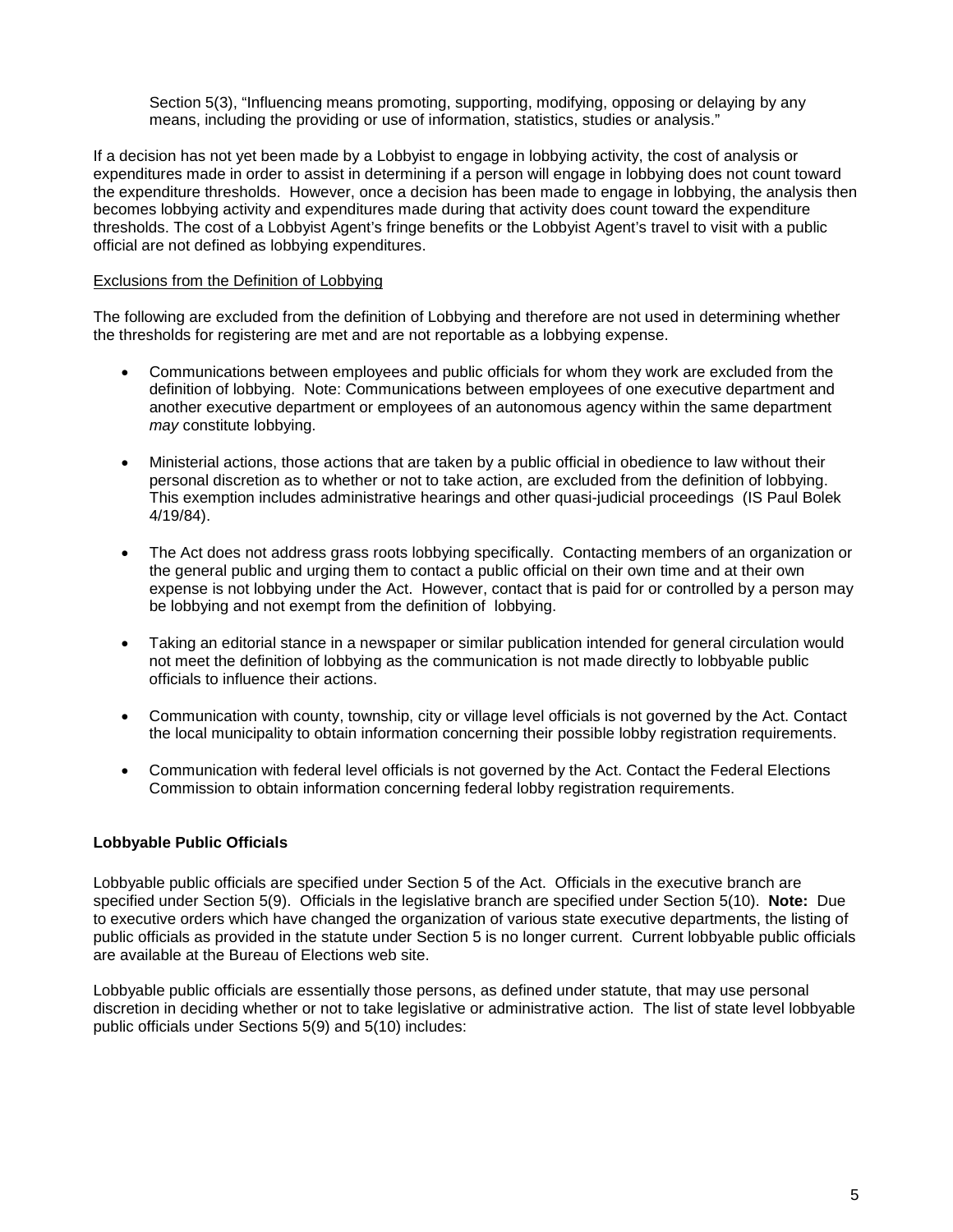Section 5(3), "Influencing means promoting, supporting, modifying, opposing or delaying by any means, including the providing or use of information, statistics, studies or analysis."

If a decision has not yet been made by a Lobbyist to engage in lobbying activity, the cost of analysis or expenditures made in order to assist in determining if a person will engage in lobbying does not count toward the expenditure thresholds. However, once a decision has been made to engage in lobbying, the analysis then becomes lobbying activity and expenditures made during that activity does count toward the expenditure thresholds. The cost of a Lobbyist Agent's fringe benefits or the Lobbyist Agent's travel to visit with a public official are not defined as lobbying expenditures.

#### Exclusions from the Definition of Lobbying

The following are excluded from the definition of Lobbying and therefore are not used in determining whether the thresholds for registering are met and are not reportable as a lobbying expense.

- Communications between employees and public officials for whom they work are excluded from the definition of lobbying. Note: Communications between employees of one executive department and another executive department or employees of an autonomous agency within the same department *may* constitute lobbying.
- Ministerial actions, those actions that are taken by a public official in obedience to law without their personal discretion as to whether or not to take action, are excluded from the definition of lobbying. This exemption includes administrative hearings and other quasi-judicial proceedings (IS Paul Bolek 4/19/84).
- The Act does not address grass roots lobbying specifically. Contacting members of an organization or the general public and urging them to contact a public official on their own time and at their own expense is not lobbying under the Act. However, contact that is paid for or controlled by a person may be lobbying and not exempt from the definition of lobbying.
- Taking an editorial stance in a newspaper or similar publication intended for general circulation would not meet the definition of lobbying as the communication is not made directly to lobbyable public officials to influence their actions.
- Communication with county, township, city or village level officials is not governed by the Act. Contact the local municipality to obtain information concerning their possible lobby registration requirements.
- Communication with federal level officials is not governed by the Act. Contact the Federal Elections Commission to obtain information concerning federal lobby registration requirements.

## **Lobbyable Public Officials**

Lobbyable public officials are specified under Section 5 of the Act. Officials in the executive branch are specified under Section 5(9). Officials in the legislative branch are specified under Section 5(10). **Note:** Due to executive orders which have changed the organization of various state executive departments, the listing of public officials as provided in the statute under Section 5 is no longer current. Current lobbyable public officials are available at the Bureau of Elections web site.

Lobbyable public officials are essentially those persons, as defined under statute, that may use personal discretion in deciding whether or not to take legislative or administrative action. The list of state level lobbyable public officials under Sections 5(9) and 5(10) includes: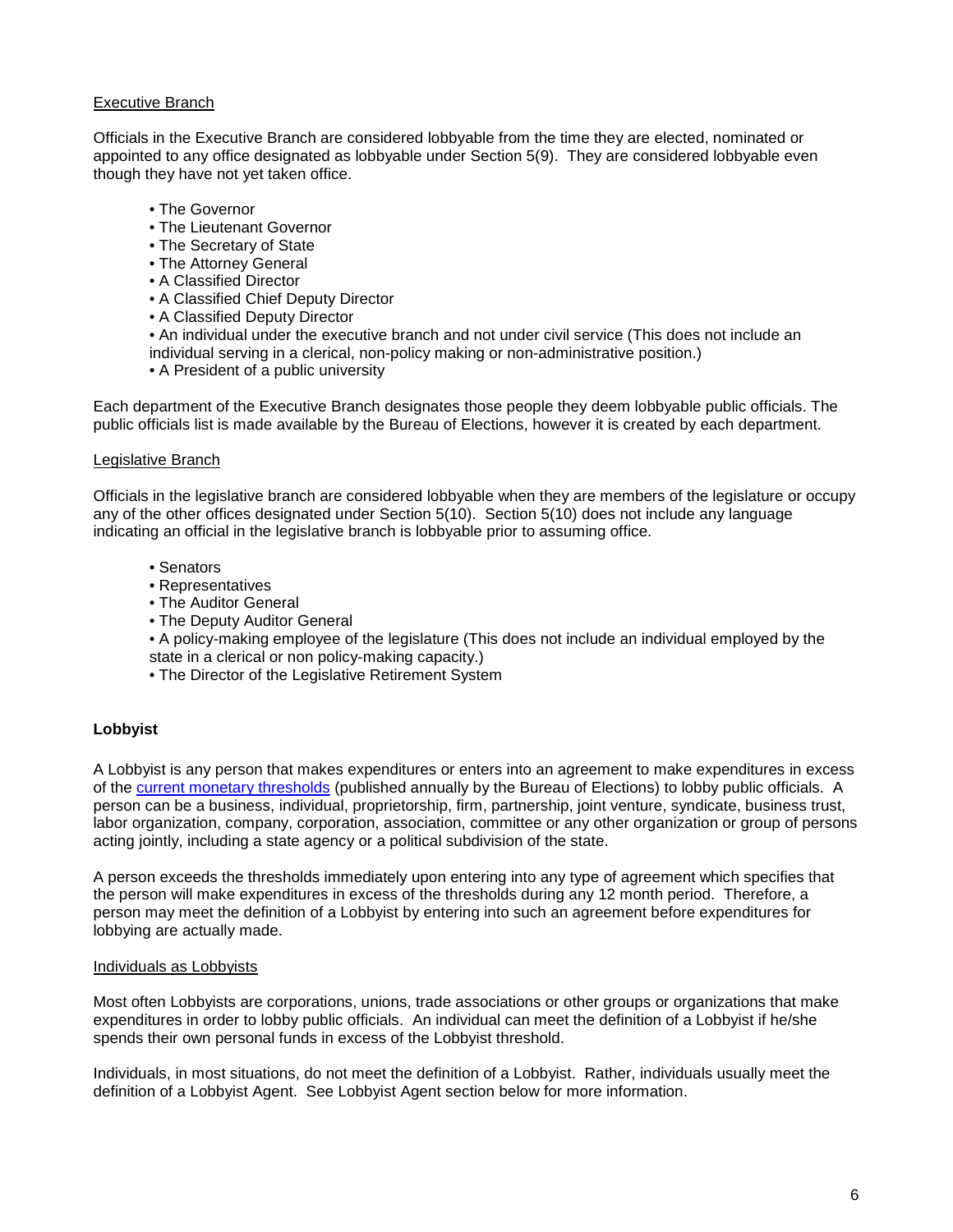## Executive Branch

Officials in the Executive Branch are considered lobbyable from the time they are elected, nominated or appointed to any office designated as lobbyable under Section 5(9). They are considered lobbyable even though they have not yet taken office.

- The Governor
- The Lieutenant Governor
- The Secretary of State
- The Attorney General
- A Classified Director
- A Classified Chief Deputy Director
- A Classified Deputy Director
- An individual under the executive branch and not under civil service (This does not include an individual serving in a clerical, non-policy making or non-administrative position.)
- A President of a public university

Each department of the Executive Branch designates those people they deem lobbyable public officials. The public officials list is made available by the Bureau of Elections, however it is created by each department.

#### Legislative Branch

Officials in the legislative branch are considered lobbyable when they are members of the legislature or occupy any of the other offices designated under Section 5(10). Section 5(10) does not include any language indicating an official in the legislative branch is lobbyable prior to assuming office.

- Senators
- Representatives
- The Auditor General
- The Deputy Auditor General
- A policy-making employee of the legislature (This does not include an individual employed by the state in a clerical or non policy-making capacity.)
- The Director of the Legislative Retirement System

## **Lobbyist**

A Lobbyist is any person that makes expenditures or enters into an agreement to make expenditures in excess of the [current monetary thresholds](http://www.michigan.gov/documents/sos/LobbyThresholds_508882_7.pdf) (published annually by the Bureau of Elections) to lobby public officials. A person can be a business, individual, proprietorship, firm, partnership, joint venture, syndicate, business trust, labor organization, company, corporation, association, committee or any other organization or group of persons acting jointly, including a state agency or a political subdivision of the state.

A person exceeds the thresholds immediately upon entering into any type of agreement which specifies that the person will make expenditures in excess of the thresholds during any 12 month period. Therefore, a person may meet the definition of a Lobbyist by entering into such an agreement before expenditures for lobbying are actually made.

#### Individuals as Lobbyists

Most often Lobbyists are corporations, unions, trade associations or other groups or organizations that make expenditures in order to lobby public officials. An individual can meet the definition of a Lobbyist if he/she spends their own personal funds in excess of the Lobbyist threshold.

Individuals, in most situations, do not meet the definition of a Lobbyist. Rather, individuals usually meet the definition of a Lobbyist Agent. See Lobbyist Agent section below for more information.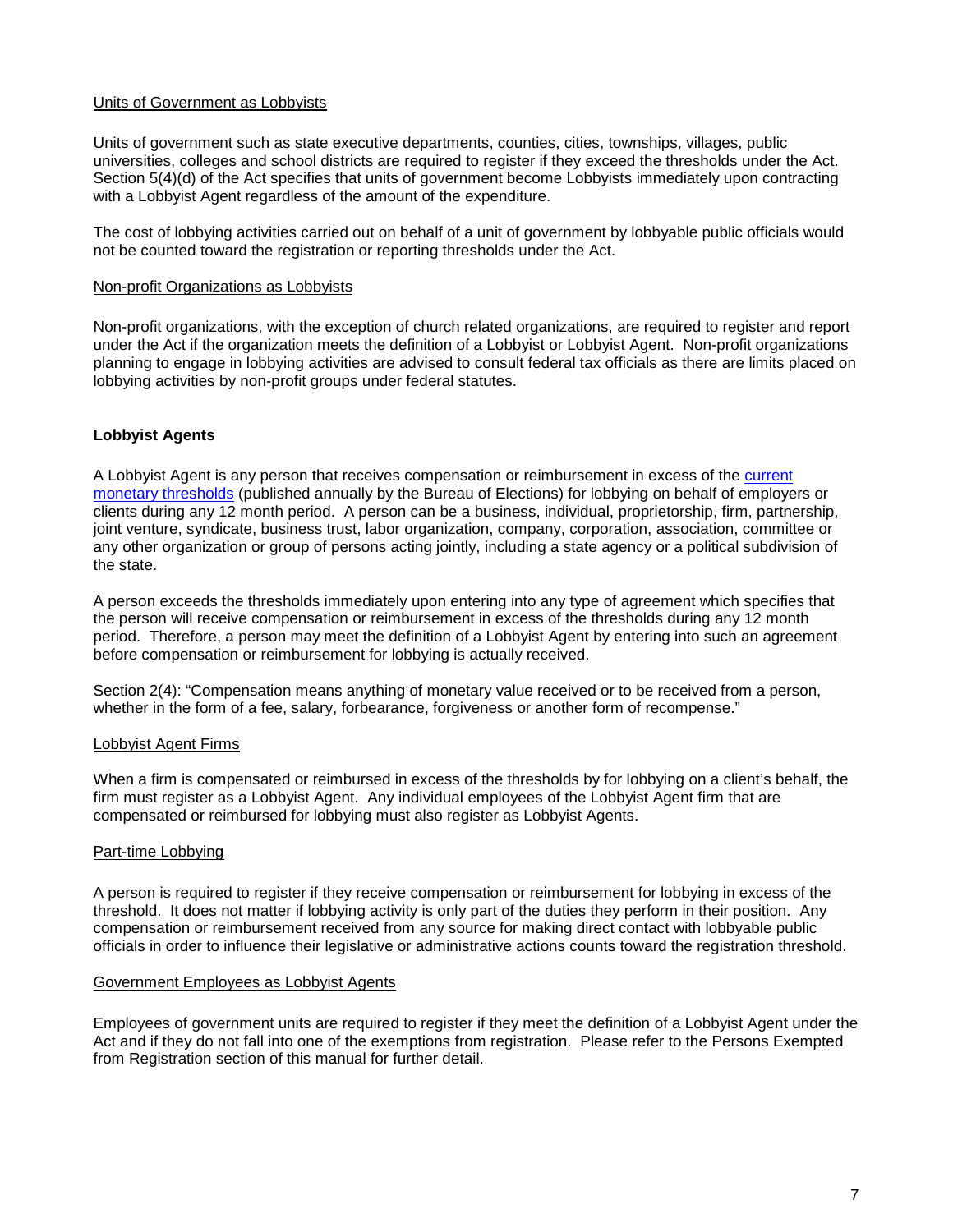#### Units of Government as Lobbyists

Units of government such as state executive departments, counties, cities, townships, villages, public universities, colleges and school districts are required to register if they exceed the thresholds under the Act. Section 5(4)(d) of the Act specifies that units of government become Lobbyists immediately upon contracting with a Lobbyist Agent regardless of the amount of the expenditure.

The cost of lobbying activities carried out on behalf of a unit of government by lobbyable public officials would not be counted toward the registration or reporting thresholds under the Act.

#### Non-profit Organizations as Lobbyists

Non-profit organizations, with the exception of church related organizations, are required to register and report under the Act if the organization meets the definition of a Lobbyist or Lobbyist Agent. Non-profit organizations planning to engage in lobbying activities are advised to consult federal tax officials as there are limits placed on lobbying activities by non-profit groups under federal statutes.

#### **Lobbyist Agents**

A Lobbyist Agent is any person that receives compensation or reimbursement in excess of the [current](http://www.michigan.gov/documents/sos/LobbyThresholds_508882_7.pdf)  [monetary thresholds](http://www.michigan.gov/documents/sos/LobbyThresholds_508882_7.pdf) (published annually by the Bureau of Elections) for lobbying on behalf of employers or clients during any 12 month period. A person can be a business, individual, proprietorship, firm, partnership, joint venture, syndicate, business trust, labor organization, company, corporation, association, committee or any other organization or group of persons acting jointly, including a state agency or a political subdivision of the state.

A person exceeds the thresholds immediately upon entering into any type of agreement which specifies that the person will receive compensation or reimbursement in excess of the thresholds during any 12 month period. Therefore, a person may meet the definition of a Lobbyist Agent by entering into such an agreement before compensation or reimbursement for lobbying is actually received.

Section 2(4): "Compensation means anything of monetary value received or to be received from a person, whether in the form of a fee, salary, forbearance, forgiveness or another form of recompense."

#### Lobbyist Agent Firms

When a firm is compensated or reimbursed in excess of the thresholds by for lobbying on a client's behalf, the firm must register as a Lobbyist Agent. Any individual employees of the Lobbyist Agent firm that are compensated or reimbursed for lobbying must also register as Lobbyist Agents.

#### Part-time Lobbying

A person is required to register if they receive compensation or reimbursement for lobbying in excess of the threshold. It does not matter if lobbying activity is only part of the duties they perform in their position. Any compensation or reimbursement received from any source for making direct contact with lobbyable public officials in order to influence their legislative or administrative actions counts toward the registration threshold.

#### Government Employees as Lobbyist Agents

Employees of government units are required to register if they meet the definition of a Lobbyist Agent under the Act and if they do not fall into one of the exemptions from registration. Please refer to the Persons Exempted from Registration section of this manual for further detail.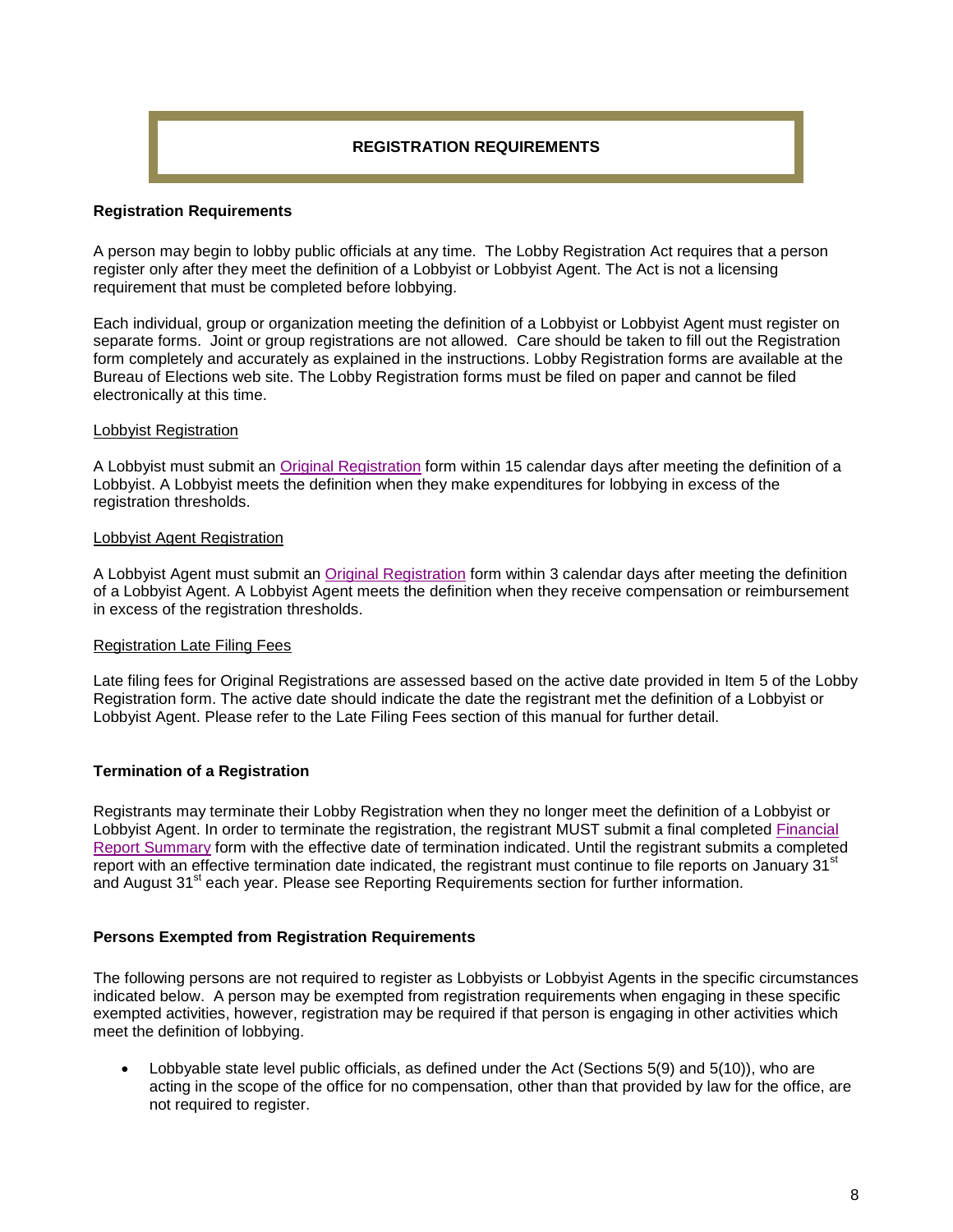## **REGISTRATION REQUIREMENTS**

#### **Registration Requirements**

A person may begin to lobby public officials at any time. The Lobby Registration Act requires that a person register only after they meet the definition of a Lobbyist or Lobbyist Agent. The Act is not a licensing requirement that must be completed before lobbying.

Each individual, group or organization meeting the definition of a Lobbyist or Lobbyist Agent must register on separate forms. Joint or group registrations are not allowed. Care should be taken to fill out the Registration form completely and accurately as explained in the instructions. Lobby Registration forms are available at the Bureau of Elections web site. The Lobby Registration forms must be filed on paper and cannot be filed electronically at this time.

#### Lobbyist Registration

A Lobbyist must submit an [Original Registration](http://www.michigan.gov/documents/LR-NEW05_141382_7.pdf) form within 15 calendar days after meeting the definition of a Lobbyist. A Lobbyist meets the definition when they make expenditures for lobbying in excess of the registration thresholds.

#### Lobbyist Agent Registration

A Lobbyist Agent must submit an [Original Registration](http://www.michigan.gov/documents/LR-NEW05_141382_7.pdf) form within 3 calendar days after meeting the definition of a Lobbyist Agent. A Lobbyist Agent meets the definition when they receive compensation or reimbursement in excess of the registration thresholds.

## Registration Late Filing Fees

Late filing fees for Original Registrations are assessed based on the active date provided in Item 5 of the Lobby Registration form. The active date should indicate the date the registrant met the definition of a Lobbyist or Lobbyist Agent. Please refer to the Late Filing Fees section of this manual for further detail.

## **Termination of a Registration**

Registrants may terminate their Lobby Registration when they no longer meet the definition of a Lobbyist or Lobbyist Agent. In order to terminate the registration, the registrant MUST submit a final completed [Financial](http://michigan.gov/documents/LR-3-05_118554_7.pdf)  [Report Summary](http://michigan.gov/documents/LR-3-05_118554_7.pdf) form with the effective date of termination indicated. Until the registrant submits a completed report with an effective termination date indicated, the registrant must continue to file reports on January 31<sup>st</sup> and August 31<sup>st</sup> each year. Please see Reporting Requirements section for further information.

## **Persons Exempted from Registration Requirements**

The following persons are not required to register as Lobbyists or Lobbyist Agents in the specific circumstances indicated below. A person may be exempted from registration requirements when engaging in these specific exempted activities, however, registration may be required if that person is engaging in other activities which meet the definition of lobbying.

Lobbyable state level public officials, as defined under the Act (Sections 5(9) and 5(10)), who are acting in the scope of the office for no compensation, other than that provided by law for the office, are not required to register.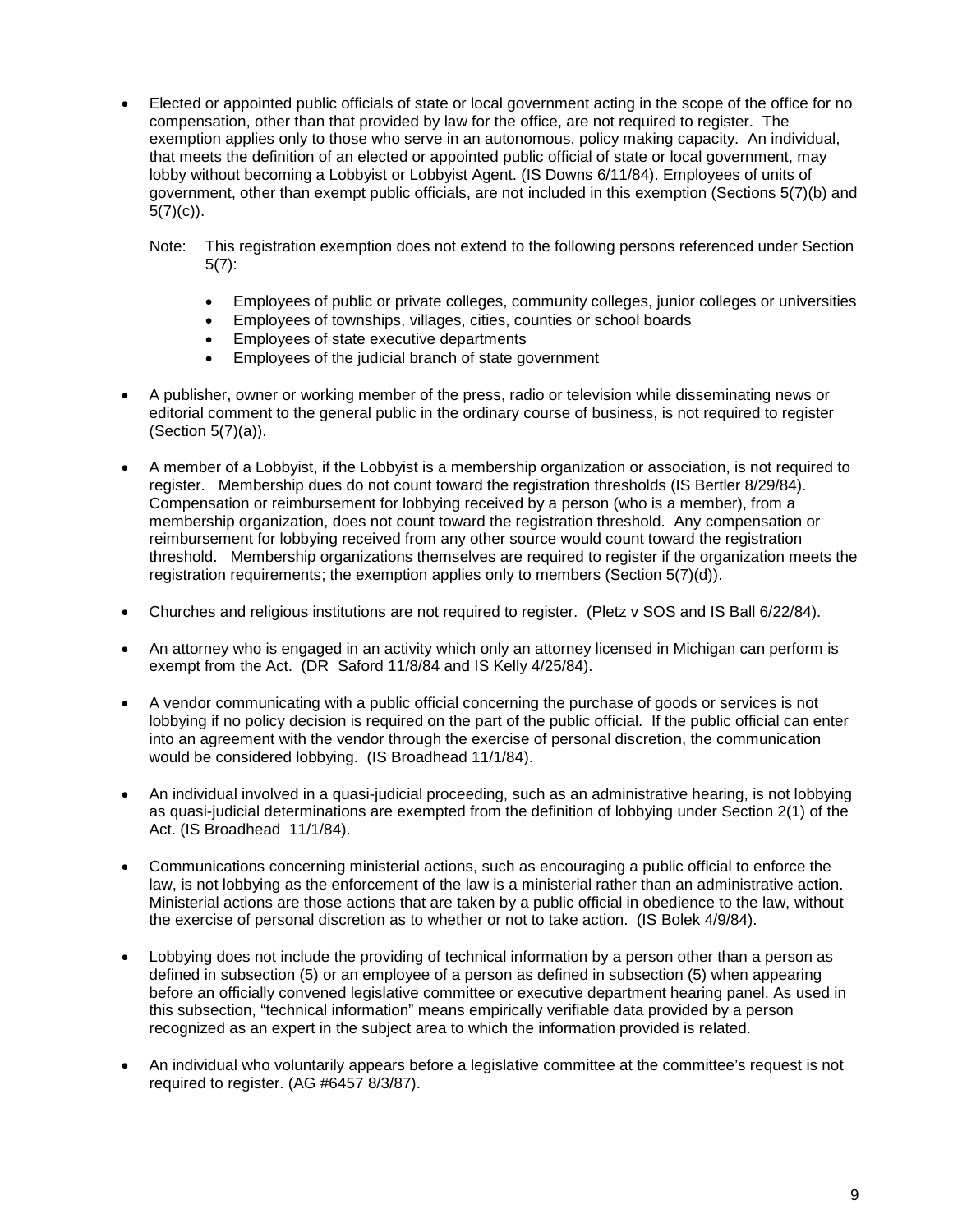- Elected or appointed public officials of state or local government acting in the scope of the office for no compensation, other than that provided by law for the office, are not required to register. The exemption applies only to those who serve in an autonomous, policy making capacity. An individual, that meets the definition of an elected or appointed public official of state or local government, may lobby without becoming a Lobbyist or Lobbyist Agent. (IS Downs 6/11/84). Employees of units of government, other than exempt public officials, are not included in this exemption (Sections 5(7)(b) and  $5(7)(c)$ ).
	- Note: This registration exemption does not extend to the following persons referenced under Section 5(7):
		- Employees of public or private colleges, community colleges, junior colleges or universities
		- Employees of townships, villages, cities, counties or school boards
		- Employees of state executive departments
		- Employees of the judicial branch of state government
- A publisher, owner or working member of the press, radio or television while disseminating news or editorial comment to the general public in the ordinary course of business, is not required to register (Section 5(7)(a)).
- A member of a Lobbyist, if the Lobbyist is a membership organization or association, is not required to register. Membership dues do not count toward the registration thresholds (IS Bertler 8/29/84). Compensation or reimbursement for lobbying received by a person (who is a member), from a membership organization, does not count toward the registration threshold. Any compensation or reimbursement for lobbying received from any other source would count toward the registration threshold. Membership organizations themselves are required to register if the organization meets the registration requirements; the exemption applies only to members (Section 5(7)(d)).
- Churches and religious institutions are not required to register. (Pletz v SOS and IS Ball 6/22/84).
- An attorney who is engaged in an activity which only an attorney licensed in Michigan can perform is exempt from the Act. (DR Saford 11/8/84 and IS Kelly 4/25/84).
- A vendor communicating with a public official concerning the purchase of goods or services is not lobbying if no policy decision is required on the part of the public official. If the public official can enter into an agreement with the vendor through the exercise of personal discretion, the communication would be considered lobbying. (IS Broadhead 11/1/84).
- An individual involved in a quasi-judicial proceeding, such as an administrative hearing, is not lobbying as quasi-judicial determinations are exempted from the definition of lobbying under Section 2(1) of the Act. (IS Broadhead 11/1/84).
- Communications concerning ministerial actions, such as encouraging a public official to enforce the law, is not lobbying as the enforcement of the law is a ministerial rather than an administrative action. Ministerial actions are those actions that are taken by a public official in obedience to the law, without the exercise of personal discretion as to whether or not to take action. (IS Bolek 4/9/84).
- Lobbying does not include the providing of technical information by a person other than a person as defined in subsection (5) or an employee of a person as defined in subsection (5) when appearing before an officially convened legislative committee or executive department hearing panel. As used in this subsection, "technical information" means empirically verifiable data provided by a person recognized as an expert in the subject area to which the information provided is related.
- An individual who voluntarily appears before a legislative committee at the committee's request is not required to register. (AG #6457 8/3/87).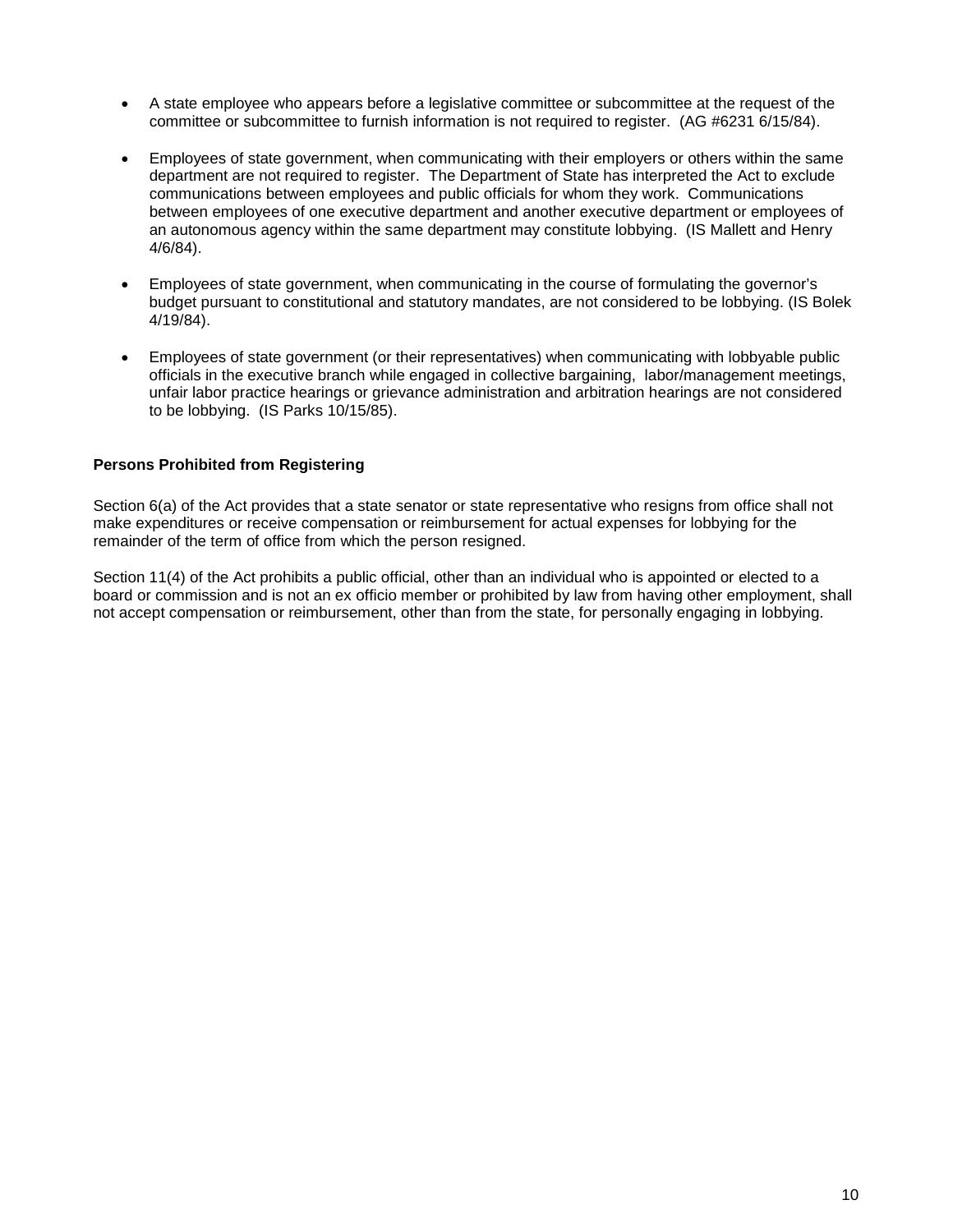- A state employee who appears before a legislative committee or subcommittee at the request of the committee or subcommittee to furnish information is not required to register. (AG #6231 6/15/84).
- Employees of state government, when communicating with their employers or others within the same department are not required to register. The Department of State has interpreted the Act to exclude communications between employees and public officials for whom they work. Communications between employees of one executive department and another executive department or employees of an autonomous agency within the same department may constitute lobbying. (IS Mallett and Henry 4/6/84).
- Employees of state government, when communicating in the course of formulating the governor's budget pursuant to constitutional and statutory mandates, are not considered to be lobbying. (IS Bolek 4/19/84).
- Employees of state government (or their representatives) when communicating with lobbyable public officials in the executive branch while engaged in collective bargaining, labor/management meetings, unfair labor practice hearings or grievance administration and arbitration hearings are not considered to be lobbying. (IS Parks 10/15/85).

#### **Persons Prohibited from Registering**

Section 6(a) of the Act provides that a state senator or state representative who resigns from office shall not make expenditures or receive compensation or reimbursement for actual expenses for lobbying for the remainder of the term of office from which the person resigned.

Section 11(4) of the Act prohibits a public official, other than an individual who is appointed or elected to a board or commission and is not an ex officio member or prohibited by law from having other employment, shall not accept compensation or reimbursement, other than from the state, for personally engaging in lobbying.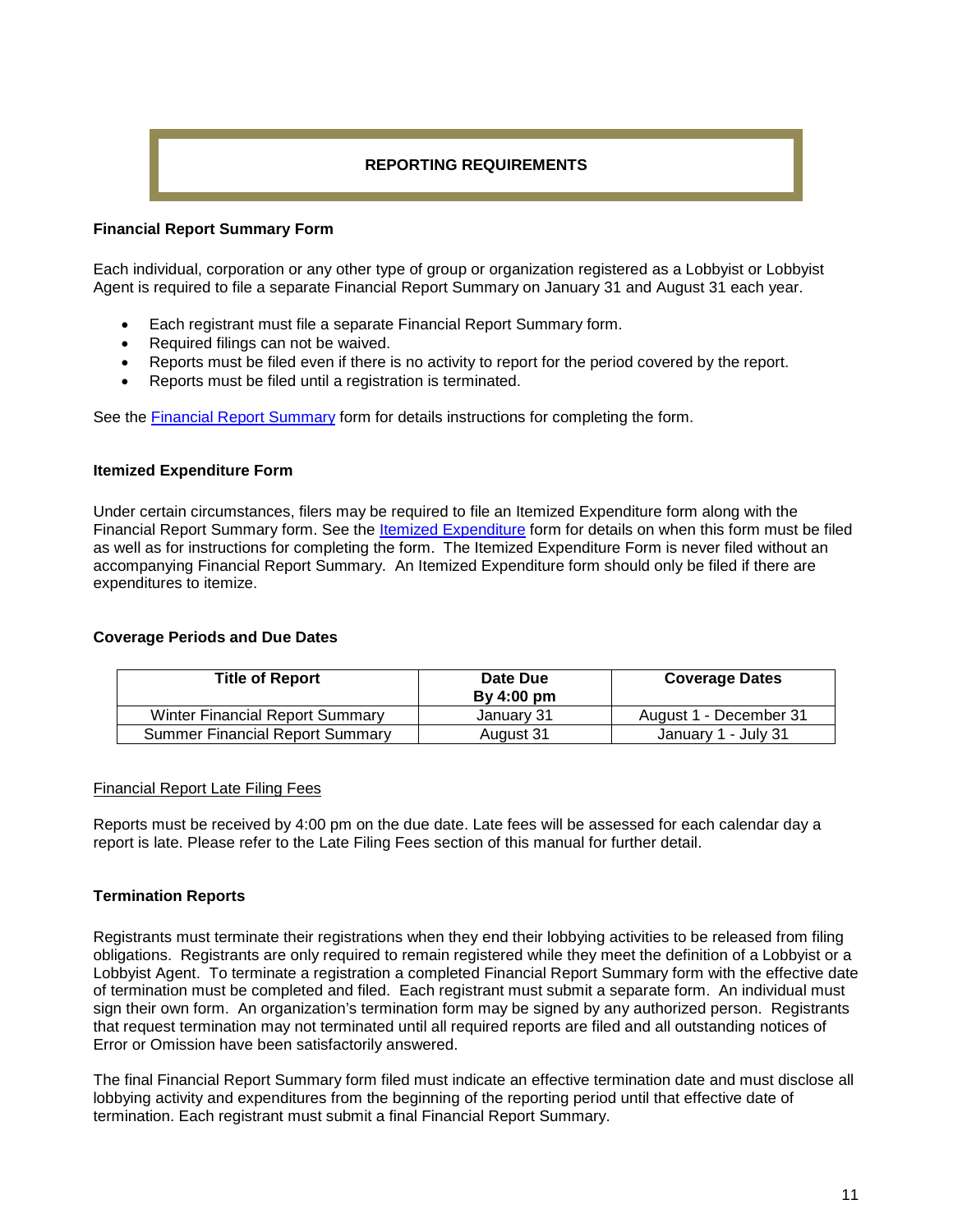# **REPORTING REQUIREMENTS**

#### **Financial Report Summary Form**

Each individual, corporation or any other type of group or organization registered as a Lobbyist or Lobbyist Agent is required to file a separate Financial Report Summary on January 31 and August 31 each year.

- Each registrant must file a separate Financial Report Summary form.
- Required filings can not be waived.
- Reports must be filed even if there is no activity to report for the period covered by the report.
- Reports must be filed until a registration is terminated.

See the [Financial Report Summary](http://michigan.gov/documents/LR-3-05_118554_7.pdf) form for details instructions for completing the form.

#### **Itemized Expenditure Form**

Under certain circumstances, filers may be required to file an Itemized Expenditure form along with the Financial Report Summary form. See the [Itemized Expenditure](http://michigan.gov/documents/LR-4-04_118555_7.pdf) form for details on when this form must be filed as well as for instructions for completing the form. The Itemized Expenditure Form is never filed without an accompanying Financial Report Summary. An Itemized Expenditure form should only be filed if there are expenditures to itemize.

#### **Coverage Periods and Due Dates**

| <b>Title of Report</b>                 | Date Due<br>By 4:00 pm | <b>Coverage Dates</b>  |
|----------------------------------------|------------------------|------------------------|
| <b>Winter Financial Report Summary</b> | January 31             | August 1 - December 31 |
| <b>Summer Financial Report Summary</b> | August 31              | January 1 - July 31    |

#### Financial Report Late Filing Fees

Reports must be received by 4:00 pm on the due date. Late fees will be assessed for each calendar day a report is late. Please refer to the Late Filing Fees section of this manual for further detail.

## **Termination Reports**

Registrants must terminate their registrations when they end their lobbying activities to be released from filing obligations. Registrants are only required to remain registered while they meet the definition of a Lobbyist or a Lobbyist Agent. To terminate a registration a completed Financial Report Summary form with the effective date of termination must be completed and filed. Each registrant must submit a separate form. An individual must sign their own form. An organization's termination form may be signed by any authorized person. Registrants that request termination may not terminated until all required reports are filed and all outstanding notices of Error or Omission have been satisfactorily answered.

The final Financial Report Summary form filed must indicate an effective termination date and must disclose all lobbying activity and expenditures from the beginning of the reporting period until that effective date of termination. Each registrant must submit a final Financial Report Summary.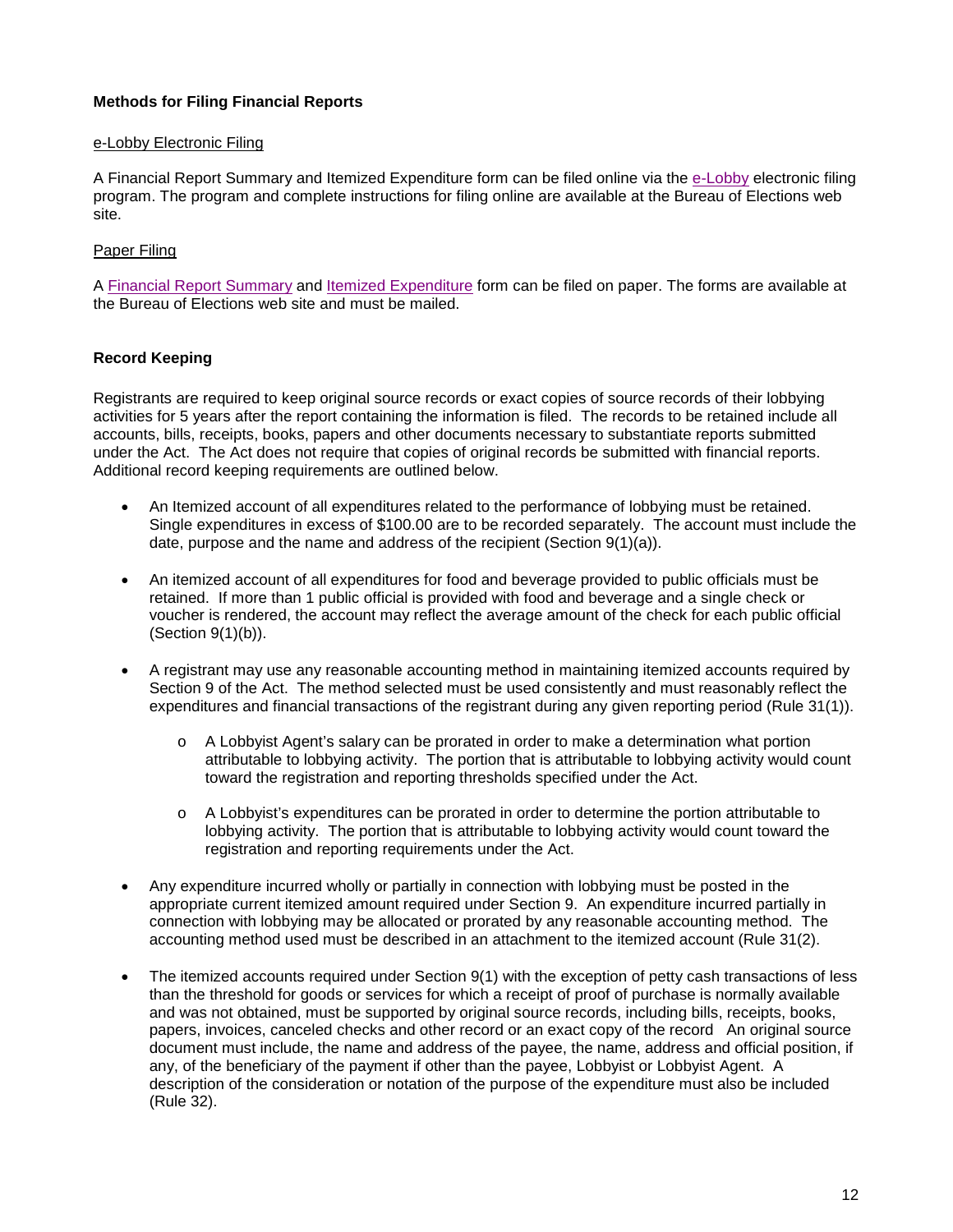# **Methods for Filing Financial Reports**

#### e-Lobby Electronic Filing

A Financial Report Summary and Itemized Expenditure form can be filed online via the [e-Lobby](http://www.michigan.gov/sos/0,4670,7-127-1633_11945-122563--,00.html) electronic filing program. The program and complete instructions for filing online are available at the Bureau of Elections web site.

## Paper Filing

A [Financial Report Summary](http://michigan.gov/documents/LR-3-05_118554_7.pdf) and [Itemized Expenditure](http://michigan.gov/documents/LR-4-04_118555_7.pdf) form can be filed on paper. The forms are available at the Bureau of Elections web site and must be mailed.

## **Record Keeping**

Registrants are required to keep original source records or exact copies of source records of their lobbying activities for 5 years after the report containing the information is filed. The records to be retained include all accounts, bills, receipts, books, papers and other documents necessary to substantiate reports submitted under the Act. The Act does not require that copies of original records be submitted with financial reports. Additional record keeping requirements are outlined below.

- An Itemized account of all expenditures related to the performance of lobbying must be retained. Single expenditures in excess of \$100.00 are to be recorded separately. The account must include the date, purpose and the name and address of the recipient (Section 9(1)(a)).
- An itemized account of all expenditures for food and beverage provided to public officials must be retained. If more than 1 public official is provided with food and beverage and a single check or voucher is rendered, the account may reflect the average amount of the check for each public official (Section 9(1)(b)).
- A registrant may use any reasonable accounting method in maintaining itemized accounts required by Section 9 of the Act. The method selected must be used consistently and must reasonably reflect the expenditures and financial transactions of the registrant during any given reporting period (Rule 31(1)).
	- o A Lobbyist Agent's salary can be prorated in order to make a determination what portion attributable to lobbying activity. The portion that is attributable to lobbying activity would count toward the registration and reporting thresholds specified under the Act.
	- o A Lobbyist's expenditures can be prorated in order to determine the portion attributable to lobbying activity. The portion that is attributable to lobbying activity would count toward the registration and reporting requirements under the Act.
- Any expenditure incurred wholly or partially in connection with lobbying must be posted in the appropriate current itemized amount required under Section 9. An expenditure incurred partially in connection with lobbying may be allocated or prorated by any reasonable accounting method. The accounting method used must be described in an attachment to the itemized account (Rule 31(2).
- The itemized accounts required under Section 9(1) with the exception of petty cash transactions of less than the threshold for goods or services for which a receipt of proof of purchase is normally available and was not obtained, must be supported by original source records, including bills, receipts, books, papers, invoices, canceled checks and other record or an exact copy of the record An original source document must include, the name and address of the payee, the name, address and official position, if any, of the beneficiary of the payment if other than the payee, Lobbyist or Lobbyist Agent. A description of the consideration or notation of the purpose of the expenditure must also be included (Rule 32).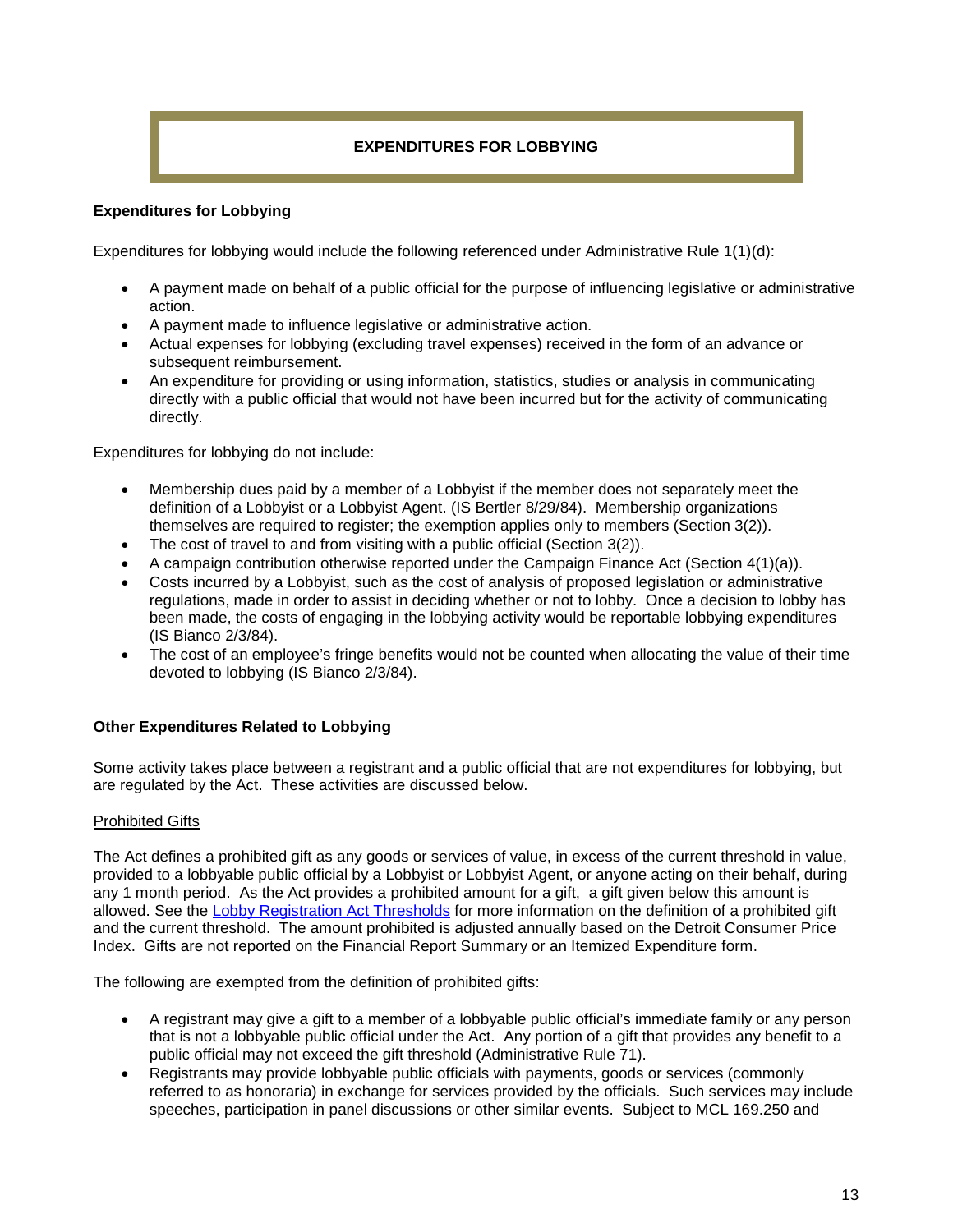# **EXPENDITURES FOR LOBBYING**

# **Expenditures for Lobbying**

Expenditures for lobbying would include the following referenced under Administrative Rule 1(1)(d):

- A payment made on behalf of a public official for the purpose of influencing legislative or administrative action.
- A payment made to influence legislative or administrative action.
- Actual expenses for lobbying (excluding travel expenses) received in the form of an advance or subsequent reimbursement.
- An expenditure for providing or using information, statistics, studies or analysis in communicating directly with a public official that would not have been incurred but for the activity of communicating directly.

Expenditures for lobbying do not include:

- Membership dues paid by a member of a Lobbyist if the member does not separately meet the definition of a Lobbyist or a Lobbyist Agent. (IS Bertler 8/29/84). Membership organizations themselves are required to register; the exemption applies only to members (Section 3(2)).
- The cost of travel to and from visiting with a public official (Section 3(2)).
- A campaign contribution otherwise reported under the Campaign Finance Act (Section 4(1)(a)).
- Costs incurred by a Lobbyist, such as the cost of analysis of proposed legislation or administrative regulations, made in order to assist in deciding whether or not to lobby. Once a decision to lobby has been made, the costs of engaging in the lobbying activity would be reportable lobbying expenditures (IS Bianco 2/3/84).
- The cost of an employee's fringe benefits would not be counted when allocating the value of their time devoted to lobbying (IS Bianco 2/3/84).

## **Other Expenditures Related to Lobbying**

Some activity takes place between a registrant and a public official that are not expenditures for lobbying, but are regulated by the Act. These activities are discussed below.

#### Prohibited Gifts

The Act defines a prohibited gift as any goods or services of value, in excess of the current threshold in value, provided to a lobbyable public official by a Lobbyist or Lobbyist Agent, or anyone acting on their behalf, during any 1 month period. As the Act provides a prohibited amount for a gift, a gift given below this amount is allowed. See the [Lobby Registration Act Thresholds](http://www.michigan.gov/documents/sos/LobbyThresholds_508882_7.pdf) for more information on the definition of a prohibited gift and the current threshold. The amount prohibited is adjusted annually based on the Detroit Consumer Price Index. Gifts are not reported on the Financial Report Summary or an Itemized Expenditure form.

The following are exempted from the definition of prohibited gifts:

- A registrant may give a gift to a member of a lobbyable public official's immediate family or any person that is not a lobbyable public official under the Act. Any portion of a gift that provides any benefit to a public official may not exceed the gift threshold (Administrative Rule 71).
- Registrants may provide lobbyable public officials with payments, goods or services (commonly referred to as honoraria) in exchange for services provided by the officials. Such services may include speeches, participation in panel discussions or other similar events. Subject to MCL 169.250 and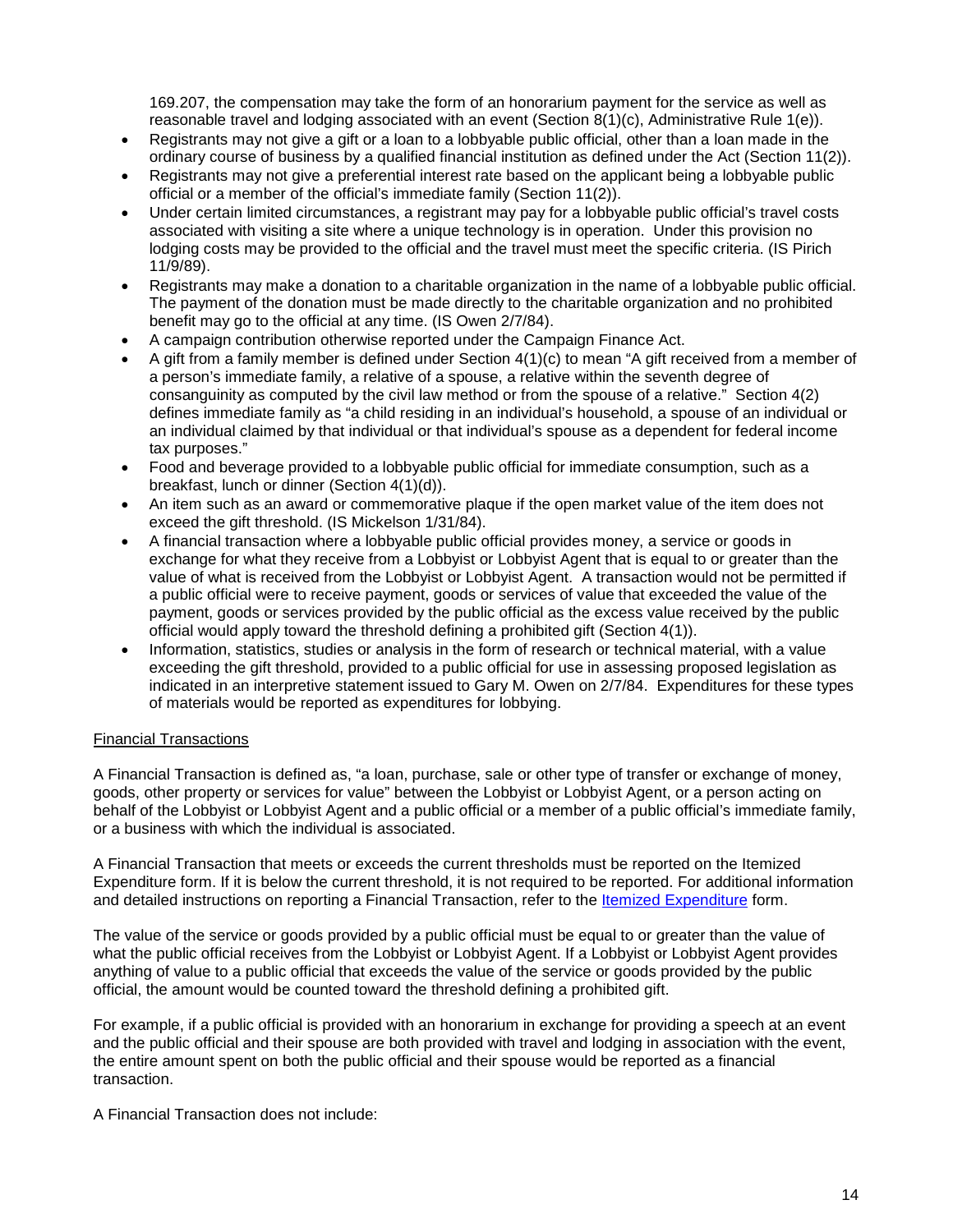169.207, the compensation may take the form of an honorarium payment for the service as well as reasonable travel and lodging associated with an event (Section 8(1)(c), Administrative Rule 1(e)).

- Registrants may not give a gift or a loan to a lobbyable public official, other than a loan made in the ordinary course of business by a qualified financial institution as defined under the Act (Section 11(2)).
- Registrants may not give a preferential interest rate based on the applicant being a lobbyable public official or a member of the official's immediate family (Section 11(2)).
- Under certain limited circumstances, a registrant may pay for a lobbyable public official's travel costs associated with visiting a site where a unique technology is in operation. Under this provision no lodging costs may be provided to the official and the travel must meet the specific criteria. (IS Pirich 11/9/89).
- Registrants may make a donation to a charitable organization in the name of a lobbyable public official. The payment of the donation must be made directly to the charitable organization and no prohibited benefit may go to the official at any time. (IS Owen 2/7/84).
- A campaign contribution otherwise reported under the Campaign Finance Act.
- A gift from a family member is defined under Section 4(1)(c) to mean "A gift received from a member of a person's immediate family, a relative of a spouse, a relative within the seventh degree of consanguinity as computed by the civil law method or from the spouse of a relative." Section 4(2) defines immediate family as "a child residing in an individual's household, a spouse of an individual or an individual claimed by that individual or that individual's spouse as a dependent for federal income tax purposes."
- Food and beverage provided to a lobbyable public official for immediate consumption, such as a breakfast, lunch or dinner (Section 4(1)(d)).
- An item such as an award or commemorative plaque if the open market value of the item does not exceed the gift threshold. (IS Mickelson 1/31/84).
- A financial transaction where a lobbyable public official provides money, a service or goods in exchange for what they receive from a Lobbyist or Lobbyist Agent that is equal to or greater than the value of what is received from the Lobbyist or Lobbyist Agent. A transaction would not be permitted if a public official were to receive payment, goods or services of value that exceeded the value of the payment, goods or services provided by the public official as the excess value received by the public official would apply toward the threshold defining a prohibited gift (Section 4(1)).
- Information, statistics, studies or analysis in the form of research or technical material, with a value exceeding the gift threshold, provided to a public official for use in assessing proposed legislation as indicated in an interpretive statement issued to Gary M. Owen on 2/7/84. Expenditures for these types of materials would be reported as expenditures for lobbying.

## Financial Transactions

A Financial Transaction is defined as, "a loan, purchase, sale or other type of transfer or exchange of money, goods, other property or services for value" between the Lobbyist or Lobbyist Agent, or a person acting on behalf of the Lobbyist or Lobbyist Agent and a public official or a member of a public official's immediate family, or a business with which the individual is associated.

A Financial Transaction that meets or exceeds the current thresholds must be reported on the Itemized Expenditure form. If it is below the current threshold, it is not required to be reported. For additional information and detailed instructions on reporting a Financial Transaction, refer to the [Itemized Expenditure](http://michigan.gov/documents/LR-4-04_118555_7.pdf) form.

The value of the service or goods provided by a public official must be equal to or greater than the value of what the public official receives from the Lobbyist or Lobbyist Agent. If a Lobbyist or Lobbyist Agent provides anything of value to a public official that exceeds the value of the service or goods provided by the public official, the amount would be counted toward the threshold defining a prohibited gift.

For example, if a public official is provided with an honorarium in exchange for providing a speech at an event and the public official and their spouse are both provided with travel and lodging in association with the event, the entire amount spent on both the public official and their spouse would be reported as a financial transaction.

A Financial Transaction does not include: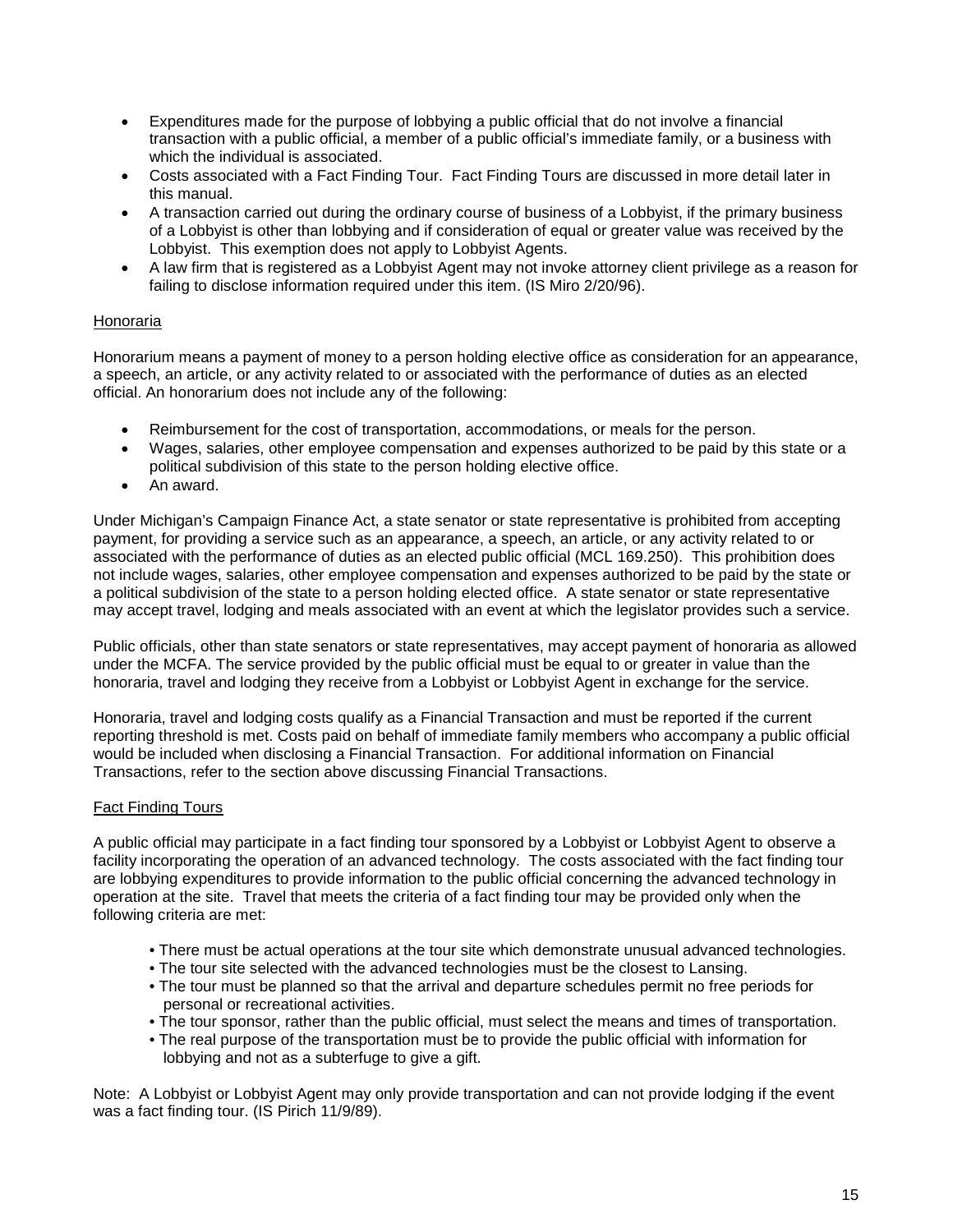- Expenditures made for the purpose of lobbying a public official that do not involve a financial transaction with a public official, a member of a public official's immediate family, or a business with which the individual is associated.
- Costs associated with a Fact Finding Tour. Fact Finding Tours are discussed in more detail later in this manual.
- A transaction carried out during the ordinary course of business of a Lobbyist, if the primary business of a Lobbyist is other than lobbying and if consideration of equal or greater value was received by the Lobbyist. This exemption does not apply to Lobbyist Agents.
- A law firm that is registered as a Lobbyist Agent may not invoke attorney client privilege as a reason for failing to disclose information required under this item. (IS Miro 2/20/96).

## Honoraria

Honorarium means a payment of money to a person holding elective office as consideration for an appearance, a speech, an article, or any activity related to or associated with the performance of duties as an elected official. An honorarium does not include any of the following:

- Reimbursement for the cost of transportation, accommodations, or meals for the person.
- Wages, salaries, other employee compensation and expenses authorized to be paid by this state or a political subdivision of this state to the person holding elective office.
- An award.

Under Michigan's Campaign Finance Act, a state senator or state representative is prohibited from accepting payment, for providing a service such as an appearance, a speech, an article, or any activity related to or associated with the performance of duties as an elected public official (MCL 169.250). This prohibition does not include wages, salaries, other employee compensation and expenses authorized to be paid by the state or a political subdivision of the state to a person holding elected office. A state senator or state representative may accept travel, lodging and meals associated with an event at which the legislator provides such a service.

Public officials, other than state senators or state representatives, may accept payment of honoraria as allowed under the MCFA. The service provided by the public official must be equal to or greater in value than the honoraria, travel and lodging they receive from a Lobbyist or Lobbyist Agent in exchange for the service.

Honoraria, travel and lodging costs qualify as a Financial Transaction and must be reported if the current reporting threshold is met. Costs paid on behalf of immediate family members who accompany a public official would be included when disclosing a Financial Transaction. For additional information on Financial Transactions, refer to the section above discussing Financial Transactions.

## Fact Finding Tours

A public official may participate in a fact finding tour sponsored by a Lobbyist or Lobbyist Agent to observe a facility incorporating the operation of an advanced technology. The costs associated with the fact finding tour are lobbying expenditures to provide information to the public official concerning the advanced technology in operation at the site. Travel that meets the criteria of a fact finding tour may be provided only when the following criteria are met:

- There must be actual operations at the tour site which demonstrate unusual advanced technologies.
- The tour site selected with the advanced technologies must be the closest to Lansing.
- The tour must be planned so that the arrival and departure schedules permit no free periods for personal or recreational activities.
- The tour sponsor, rather than the public official, must select the means and times of transportation.
- The real purpose of the transportation must be to provide the public official with information for lobbying and not as a subterfuge to give a gift.

Note: A Lobbyist or Lobbyist Agent may only provide transportation and can not provide lodging if the event was a fact finding tour. (IS Pirich 11/9/89).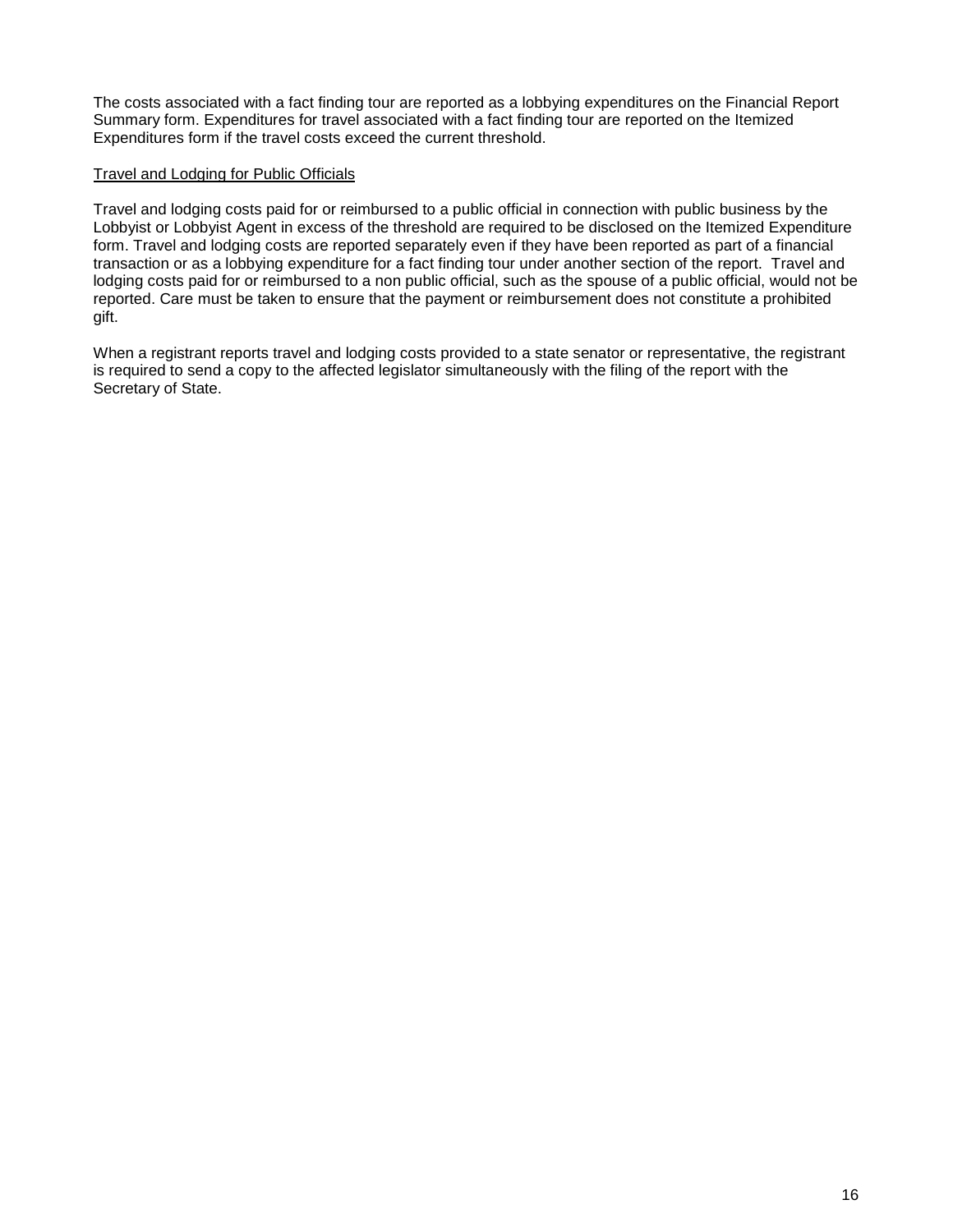The costs associated with a fact finding tour are reported as a lobbying expenditures on the Financial Report Summary form. Expenditures for travel associated with a fact finding tour are reported on the Itemized Expenditures form if the travel costs exceed the current threshold.

#### Travel and Lodging for Public Officials

Travel and lodging costs paid for or reimbursed to a public official in connection with public business by the Lobbyist or Lobbyist Agent in excess of the threshold are required to be disclosed on the Itemized Expenditure form. Travel and lodging costs are reported separately even if they have been reported as part of a financial transaction or as a lobbying expenditure for a fact finding tour under another section of the report. Travel and lodging costs paid for or reimbursed to a non public official, such as the spouse of a public official, would not be reported. Care must be taken to ensure that the payment or reimbursement does not constitute a prohibited gift.

When a registrant reports travel and lodging costs provided to a state senator or representative, the registrant is required to send a copy to the affected legislator simultaneously with the filing of the report with the Secretary of State.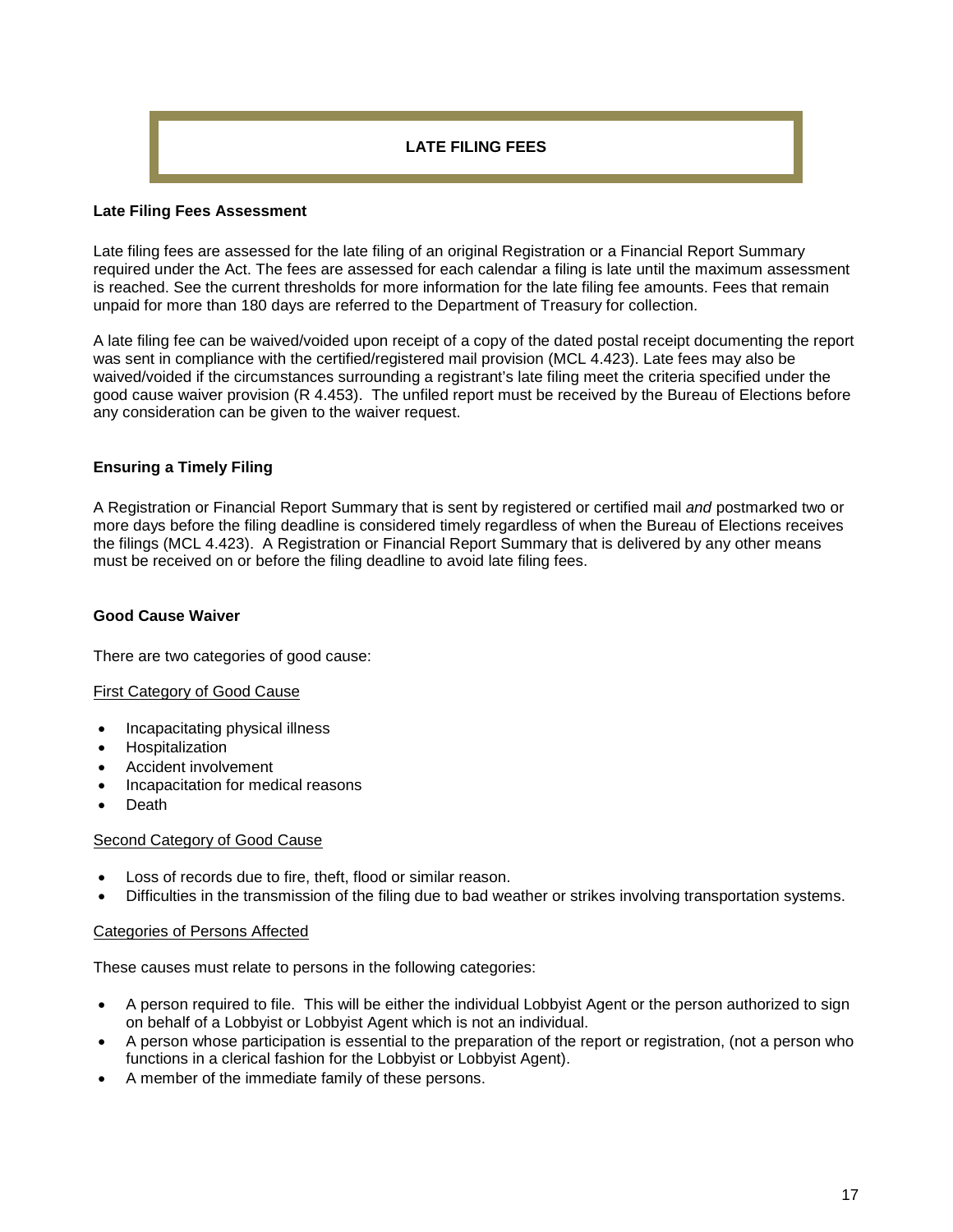# **LATE FILING FEES**

## **Late Filing Fees Assessment**

Late filing fees are assessed for the late filing of an original Registration or a Financial Report Summary required under the Act. The fees are assessed for each calendar a filing is late until the maximum assessment is reached. See the current thresholds for more information for the late filing fee amounts. Fees that remain unpaid for more than 180 days are referred to the Department of Treasury for collection.

A late filing fee can be waived/voided upon receipt of a copy of the dated postal receipt documenting the report was sent in compliance with the certified/registered mail provision (MCL 4.423). Late fees may also be waived/voided if the circumstances surrounding a registrant's late filing meet the criteria specified under the good cause waiver provision (R 4.453). The unfiled report must be received by the Bureau of Elections before any consideration can be given to the waiver request.

# **Ensuring a Timely Filing**

A Registration or Financial Report Summary that is sent by registered or certified mail *and* postmarked two or more days before the filing deadline is considered timely regardless of when the Bureau of Elections receives the filings (MCL 4.423). A Registration or Financial Report Summary that is delivered by any other means must be received on or before the filing deadline to avoid late filing fees.

## **Good Cause Waiver**

There are two categories of good cause:

## First Category of Good Cause

- Incapacitating physical illness
- Hospitalization
- Accident involvement
- Incapacitation for medical reasons
- Death

## Second Category of Good Cause

- Loss of records due to fire, theft, flood or similar reason.
- Difficulties in the transmission of the filing due to bad weather or strikes involving transportation systems.

#### Categories of Persons Affected

These causes must relate to persons in the following categories:

- A person required to file. This will be either the individual Lobbyist Agent or the person authorized to sign on behalf of a Lobbyist or Lobbyist Agent which is not an individual.
- A person whose participation is essential to the preparation of the report or registration, (not a person who functions in a clerical fashion for the Lobbyist or Lobbyist Agent).
- A member of the immediate family of these persons.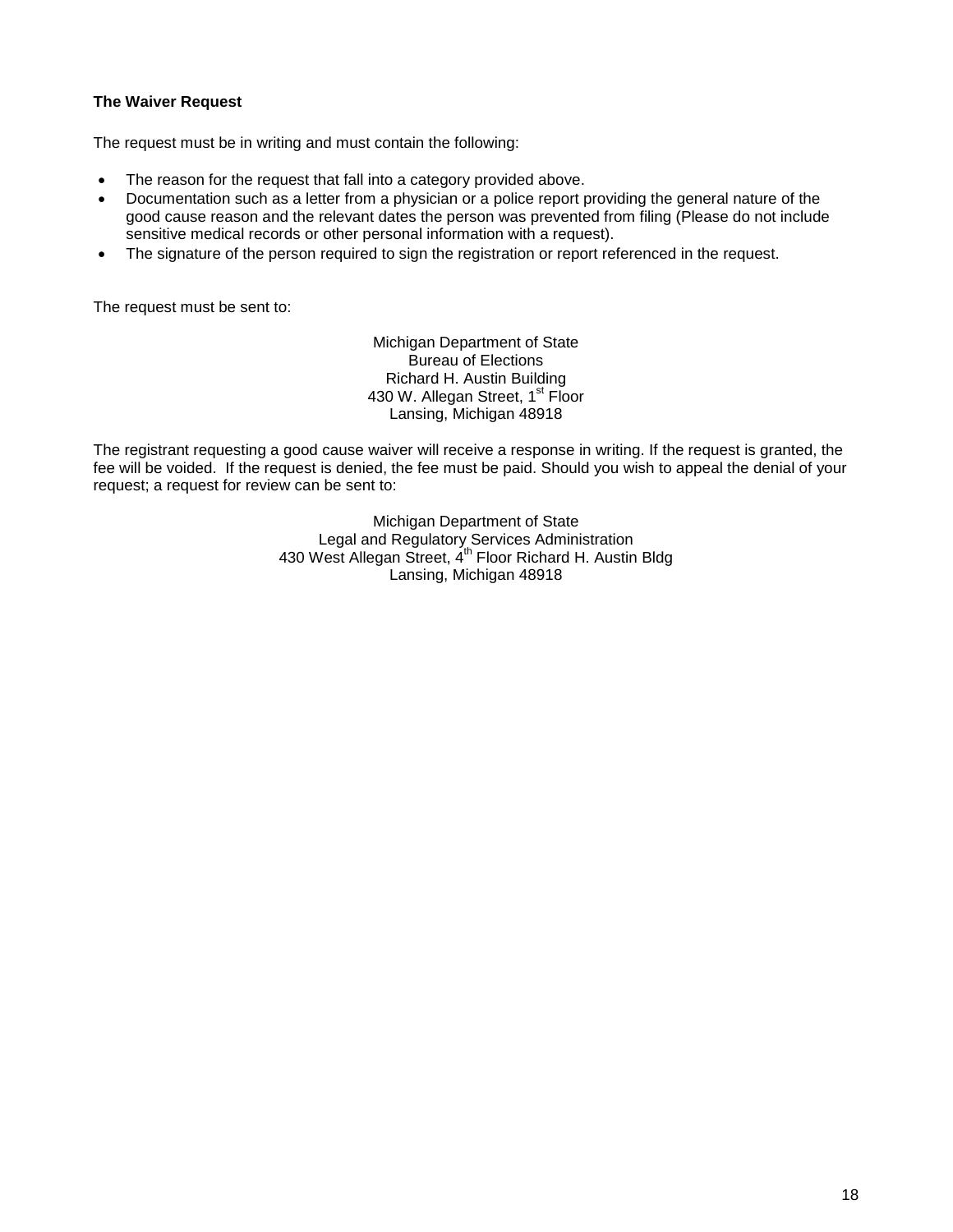## **The Waiver Request**

The request must be in writing and must contain the following:

- The reason for the request that fall into a category provided above.
- Documentation such as a letter from a physician or a police report providing the general nature of the good cause reason and the relevant dates the person was prevented from filing (Please do not include sensitive medical records or other personal information with a request).
- The signature of the person required to sign the registration or report referenced in the request.

The request must be sent to:

Michigan Department of State Bureau of Elections Richard H. Austin Building 430 W. Allegan Street, 1<sup>st</sup> Floor Lansing, Michigan 48918

The registrant requesting a good cause waiver will receive a response in writing. If the request is granted, the fee will be voided. If the request is denied, the fee must be paid. Should you wish to appeal the denial of your request; a request for review can be sent to:

> Michigan Department of State Legal and Regulatory Services Administration 430 West Allegan Street, 4<sup>th</sup> Floor Richard H. Austin Bldg Lansing, Michigan 48918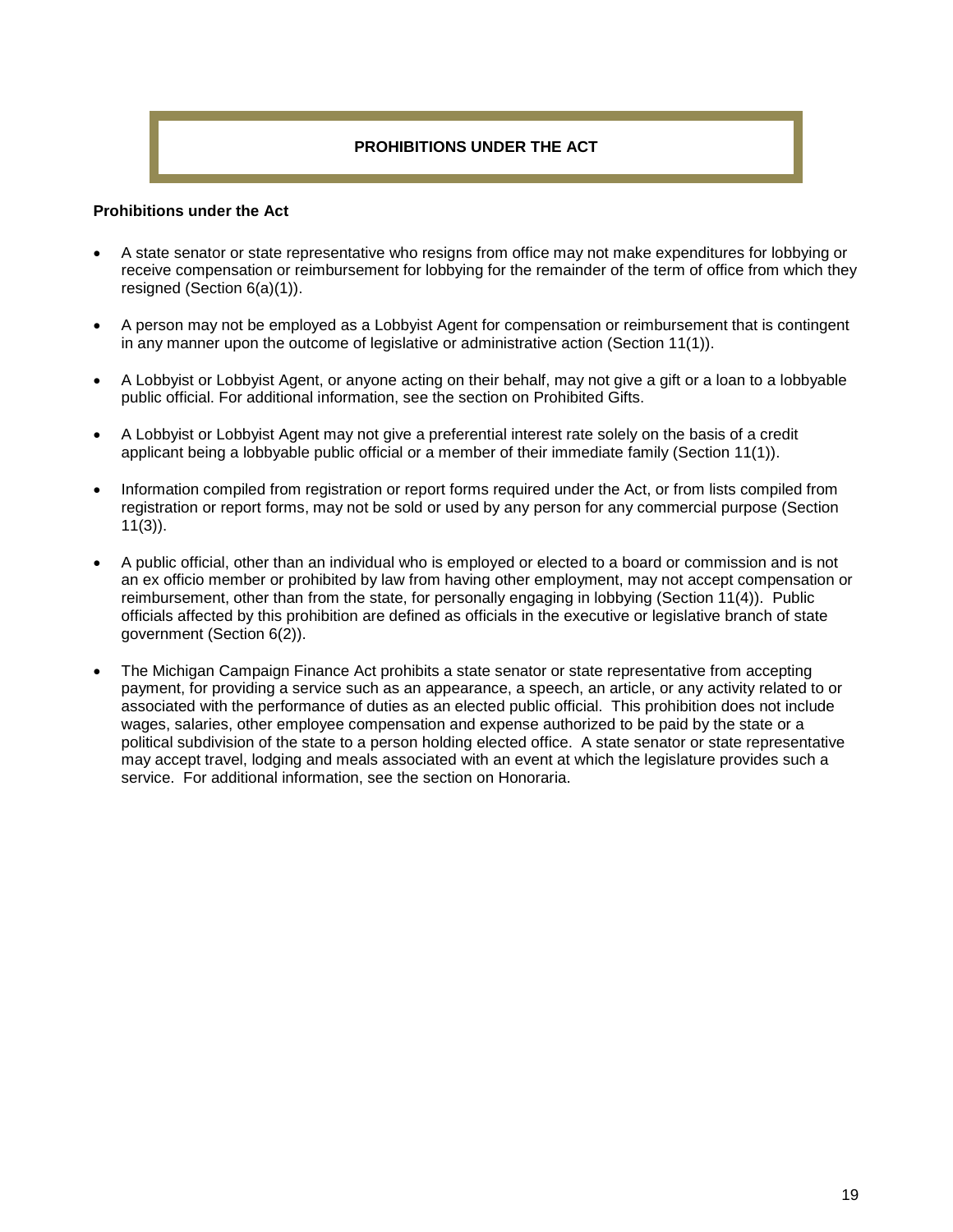# **PROHIBITIONS UNDER THE ACT**

#### **Prohibitions under the Act**

- A state senator or state representative who resigns from office may not make expenditures for lobbying or receive compensation or reimbursement for lobbying for the remainder of the term of office from which they resigned (Section 6(a)(1)).
- A person may not be employed as a Lobbyist Agent for compensation or reimbursement that is contingent in any manner upon the outcome of legislative or administrative action (Section 11(1)).
- A Lobbyist or Lobbyist Agent, or anyone acting on their behalf, may not give a gift or a loan to a lobbyable public official. For additional information, see the section on Prohibited Gifts.
- A Lobbyist or Lobbyist Agent may not give a preferential interest rate solely on the basis of a credit applicant being a lobbyable public official or a member of their immediate family (Section 11(1)).
- Information compiled from registration or report forms required under the Act, or from lists compiled from registration or report forms, may not be sold or used by any person for any commercial purpose (Section 11(3)).
- A public official, other than an individual who is employed or elected to a board or commission and is not an ex officio member or prohibited by law from having other employment, may not accept compensation or reimbursement, other than from the state, for personally engaging in lobbying (Section 11(4)). Public officials affected by this prohibition are defined as officials in the executive or legislative branch of state government (Section 6(2)).
- The Michigan Campaign Finance Act prohibits a state senator or state representative from accepting payment, for providing a service such as an appearance, a speech, an article, or any activity related to or associated with the performance of duties as an elected public official. This prohibition does not include wages, salaries, other employee compensation and expense authorized to be paid by the state or a political subdivision of the state to a person holding elected office. A state senator or state representative may accept travel, lodging and meals associated with an event at which the legislature provides such a service. For additional information, see the section on Honoraria.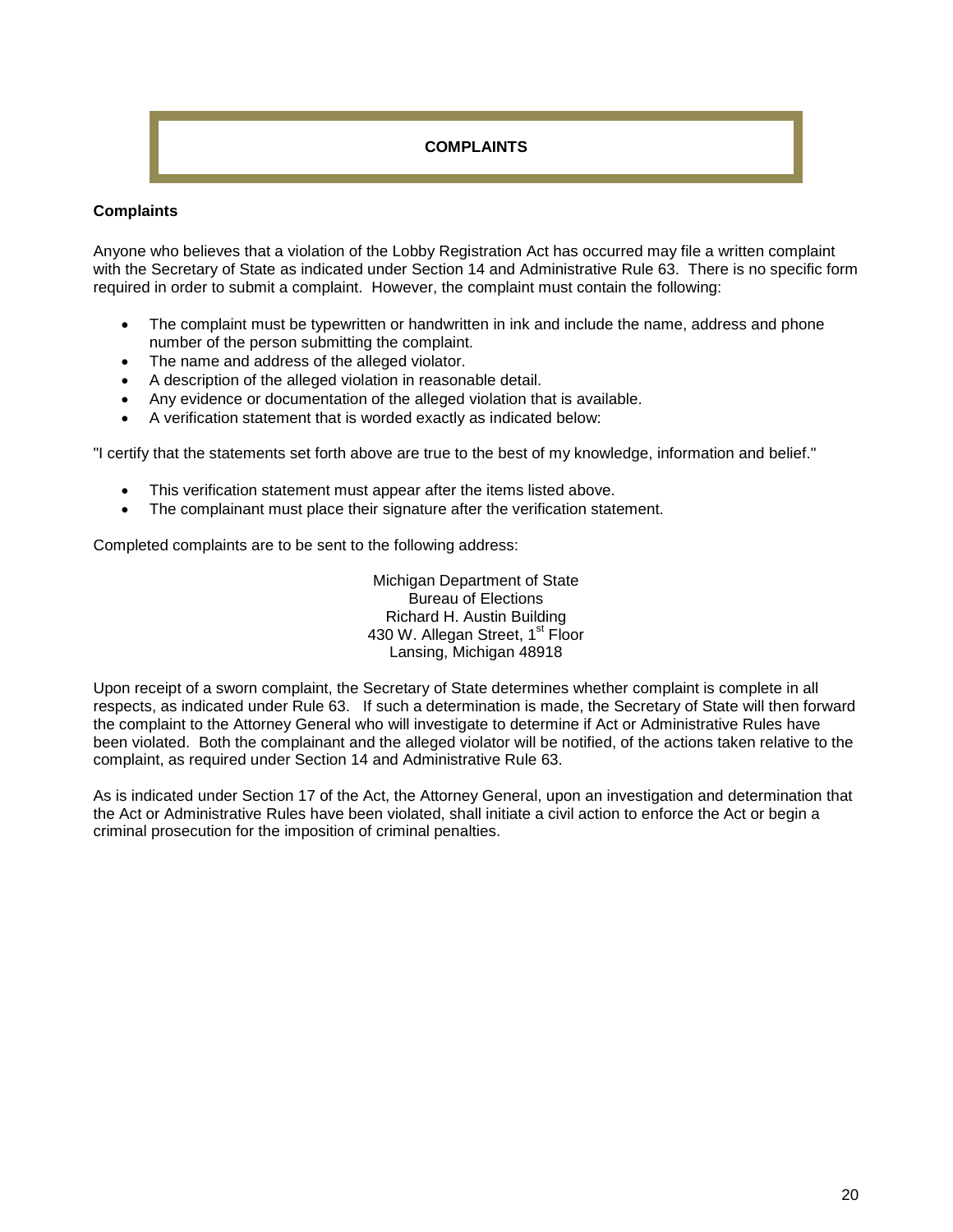# **COMPLAINTS**

## **Complaints**

Anyone who believes that a violation of the Lobby Registration Act has occurred may file a written complaint with the Secretary of State as indicated under Section 14 and Administrative Rule 63. There is no specific form required in order to submit a complaint. However, the complaint must contain the following:

- The complaint must be typewritten or handwritten in ink and include the name, address and phone number of the person submitting the complaint.
- The name and address of the alleged violator.
- A description of the alleged violation in reasonable detail.
- Any evidence or documentation of the alleged violation that is available.
- A verification statement that is worded exactly as indicated below:

"I certify that the statements set forth above are true to the best of my knowledge, information and belief."

- This verification statement must appear after the items listed above.
- The complainant must place their signature after the verification statement.

Completed complaints are to be sent to the following address:

Michigan Department of State Bureau of Elections Richard H. Austin Building 430 W. Allegan Street, 1<sup>st</sup> Floor Lansing, Michigan 48918

Upon receipt of a sworn complaint, the Secretary of State determines whether complaint is complete in all respects, as indicated under Rule 63. If such a determination is made, the Secretary of State will then forward the complaint to the Attorney General who will investigate to determine if Act or Administrative Rules have been violated. Both the complainant and the alleged violator will be notified, of the actions taken relative to the complaint, as required under Section 14 and Administrative Rule 63.

As is indicated under Section 17 of the Act, the Attorney General, upon an investigation and determination that the Act or Administrative Rules have been violated, shall initiate a civil action to enforce the Act or begin a criminal prosecution for the imposition of criminal penalties.